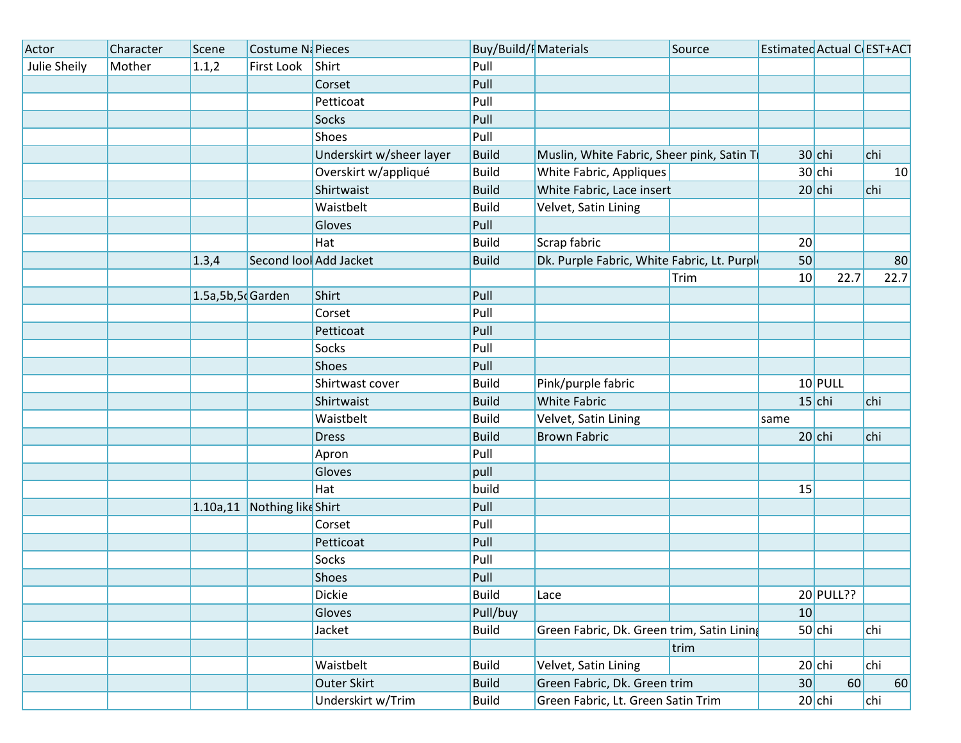| Actor        | Character | Scene                 | Costume Ni Pieces      |                          | <b>Buy/Build/F</b> Materials |                                             | Source | Estimated Actual C EST+ACT |           |      |
|--------------|-----------|-----------------------|------------------------|--------------------------|------------------------------|---------------------------------------------|--------|----------------------------|-----------|------|
| Julie Sheily | Mother    | 1.1,2                 | First Look             | Shirt                    | Pull                         |                                             |        |                            |           |      |
|              |           |                       |                        | Corset                   | Pull                         |                                             |        |                            |           |      |
|              |           |                       |                        | Petticoat                | Pull                         |                                             |        |                            |           |      |
|              |           |                       |                        | <b>Socks</b>             | Pull                         |                                             |        |                            |           |      |
|              |           |                       |                        | Shoes                    | Pull                         |                                             |        |                            |           |      |
|              |           |                       |                        | Underskirt w/sheer layer | <b>Build</b>                 | Muslin, White Fabric, Sheer pink, Satin Ti  |        |                            | $30$ chi  | chi  |
|              |           |                       |                        | Overskirt w/appliqué     | <b>Build</b>                 | White Fabric, Appliques                     |        |                            | $30$ chi  | 10   |
|              |           |                       |                        | Shirtwaist               | <b>Build</b>                 | White Fabric, Lace insert                   |        |                            | $20$ chi  | chi  |
|              |           |                       |                        | Waistbelt                | <b>Build</b>                 | Velvet, Satin Lining                        |        |                            |           |      |
|              |           |                       |                        | Gloves                   | Pull                         |                                             |        |                            |           |      |
|              |           |                       |                        | Hat                      | <b>Build</b>                 | Scrap fabric                                |        | 20                         |           |      |
|              |           | 1.3,4                 | Second lool Add Jacket |                          | <b>Build</b>                 | Dk. Purple Fabric, White Fabric, Lt. Purple |        | 50                         |           | 80   |
|              |           |                       |                        |                          |                              |                                             | Trim   | 10                         | 22.7      | 22.7 |
|              |           | $1.5a, 5b, 5c$ Garden |                        | Shirt                    | Pull                         |                                             |        |                            |           |      |
|              |           |                       |                        | Corset                   | Pull                         |                                             |        |                            |           |      |
|              |           |                       |                        | Petticoat                | Pull                         |                                             |        |                            |           |      |
|              |           |                       |                        | Socks                    | Pull                         |                                             |        |                            |           |      |
|              |           |                       |                        | Shoes                    | Pull                         |                                             |        |                            |           |      |
|              |           |                       |                        | Shirtwast cover          | <b>Build</b>                 | Pink/purple fabric                          |        |                            | $10$ PULL |      |
|              |           |                       |                        | Shirtwaist               | <b>Build</b>                 | <b>White Fabric</b>                         |        |                            | $15$ chi  | chi  |
|              |           |                       |                        | Waistbelt                | <b>Build</b>                 | Velvet, Satin Lining                        |        | same                       |           |      |
|              |           |                       |                        | <b>Dress</b>             | <b>Build</b>                 | <b>Brown Fabric</b>                         |        |                            | $20$ chi  | chi  |
|              |           |                       |                        | Apron                    | Pull                         |                                             |        |                            |           |      |
|              |           |                       |                        | Gloves                   | pull                         |                                             |        |                            |           |      |
|              |           |                       |                        | Hat                      | build                        |                                             |        | 15                         |           |      |
|              |           | 1.10a, 11             | Nothing like Shirt     |                          | Pull                         |                                             |        |                            |           |      |
|              |           |                       |                        | Corset                   | Pull                         |                                             |        |                            |           |      |
|              |           |                       |                        | Petticoat                | Pull                         |                                             |        |                            |           |      |
|              |           |                       |                        | Socks                    | Pull                         |                                             |        |                            |           |      |
|              |           |                       |                        | Shoes                    | Pull                         |                                             |        |                            |           |      |
|              |           |                       |                        | <b>Dickie</b>            | <b>Build</b>                 | Lace                                        |        |                            | 20 PULL?? |      |
|              |           |                       |                        | Gloves                   | Pull/buy                     |                                             |        | 10                         |           |      |
|              |           |                       |                        | Jacket                   | <b>Build</b>                 | Green Fabric, Dk. Green trim, Satin Lining  |        |                            | $50$ chi  | chi  |
|              |           |                       |                        |                          |                              |                                             | trim   |                            |           |      |
|              |           |                       |                        | Waistbelt                | <b>Build</b>                 | Velvet, Satin Lining                        |        |                            | $20$ chi  | chi  |
|              |           |                       |                        | Outer Skirt              | <b>Build</b>                 | Green Fabric, Dk. Green trim                |        | 30                         | 60        | 60   |
|              |           |                       |                        | Underskirt w/Trim        | <b>Build</b>                 | Green Fabric, Lt. Green Satin Trim          |        |                            | $20$ chi  | chi  |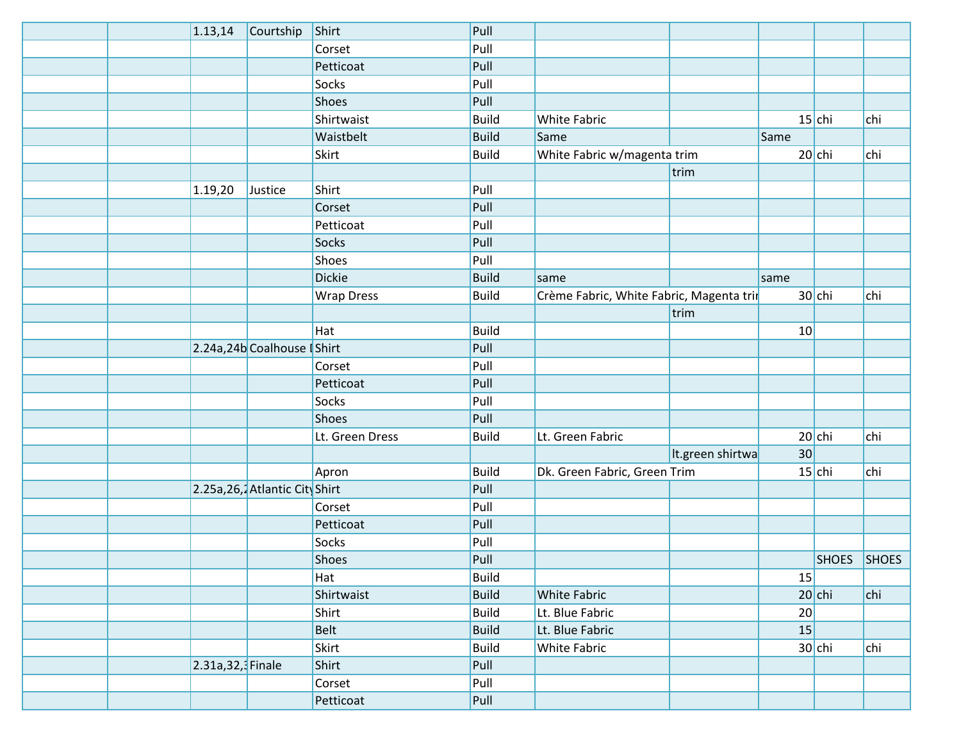|  | 1.13,14           | Courtship                      | Shirt             | Pull         |                                          |                  |                 |             |     |
|--|-------------------|--------------------------------|-------------------|--------------|------------------------------------------|------------------|-----------------|-------------|-----|
|  |                   |                                | Corset            | Pull         |                                          |                  |                 |             |     |
|  |                   |                                | Petticoat         | Pull         |                                          |                  |                 |             |     |
|  |                   |                                | Socks             | Pull         |                                          |                  |                 |             |     |
|  |                   |                                | Shoes             | Pull         |                                          |                  |                 |             |     |
|  |                   |                                | Shirtwaist        | <b>Build</b> | White Fabric                             |                  |                 | $15$ chi    | chi |
|  |                   |                                | Waistbelt         | <b>Build</b> | Same                                     |                  | Same            |             |     |
|  |                   |                                | <b>Skirt</b>      | <b>Build</b> | White Fabric w/magenta trim              |                  |                 | $20$ chi    | chi |
|  |                   |                                |                   |              |                                          | trim             |                 |             |     |
|  | 1.19,20           | Justice                        | Shirt             | Pull         |                                          |                  |                 |             |     |
|  |                   |                                | Corset            | Pull         |                                          |                  |                 |             |     |
|  |                   |                                | Petticoat         | Pull         |                                          |                  |                 |             |     |
|  |                   |                                | Socks             | Pull         |                                          |                  |                 |             |     |
|  |                   |                                | <b>Shoes</b>      | Pull         |                                          |                  |                 |             |     |
|  |                   |                                | <b>Dickie</b>     | <b>Build</b> | same                                     |                  | same            |             |     |
|  |                   |                                | <b>Wrap Dress</b> | <b>Build</b> | Crème Fabric, White Fabric, Magenta trir |                  |                 | $30$ chi    | chi |
|  |                   |                                |                   |              |                                          | trim             |                 |             |     |
|  |                   |                                | Hat               | <b>Build</b> |                                          |                  | 10              |             |     |
|  |                   | 2.24a,24b Coalhouse Shirt      |                   | Pull         |                                          |                  |                 |             |     |
|  |                   |                                | Corset            | Pull         |                                          |                  |                 |             |     |
|  |                   |                                | Petticoat         | Pull         |                                          |                  |                 |             |     |
|  |                   |                                | Socks             | Pull         |                                          |                  |                 |             |     |
|  |                   |                                | <b>Shoes</b>      | Pull         |                                          |                  |                 |             |     |
|  |                   |                                | Lt. Green Dress   | <b>Build</b> | Lt. Green Fabric                         |                  |                 | $20$ chi    | chi |
|  |                   |                                |                   |              |                                          | It.green shirtwa | 30 <sup>°</sup> |             |     |
|  |                   |                                | Apron             | <b>Build</b> | Dk. Green Fabric, Green Trim             |                  |                 | $15$ chi    | chi |
|  |                   | 2.25a, 26, Atlantic City Shirt |                   | Pull         |                                          |                  |                 |             |     |
|  |                   |                                | Corset            | Pull         |                                          |                  |                 |             |     |
|  |                   |                                | Petticoat         | Pull         |                                          |                  |                 |             |     |
|  |                   |                                | Socks             | Pull         |                                          |                  |                 |             |     |
|  |                   |                                | Shoes             | Pull         |                                          |                  |                 | SHOES SHOES |     |
|  |                   |                                | Hat               | Build        |                                          |                  | 15              |             |     |
|  |                   |                                | Shirtwaist        | <b>Build</b> | <b>White Fabric</b>                      |                  |                 | $20$ chi    | chi |
|  |                   |                                | Shirt             | <b>Build</b> | Lt. Blue Fabric                          |                  | 20              |             |     |
|  |                   |                                | <b>Belt</b>       | <b>Build</b> | Lt. Blue Fabric                          |                  | 15              |             |     |
|  |                   |                                | Skirt             | <b>Build</b> | <b>White Fabric</b>                      |                  |                 | $30$ chi    | chi |
|  | 2.31a, 32, Finale |                                | Shirt             | Pull         |                                          |                  |                 |             |     |
|  |                   |                                | Corset            | Pull         |                                          |                  |                 |             |     |
|  |                   |                                | Petticoat         | Pull         |                                          |                  |                 |             |     |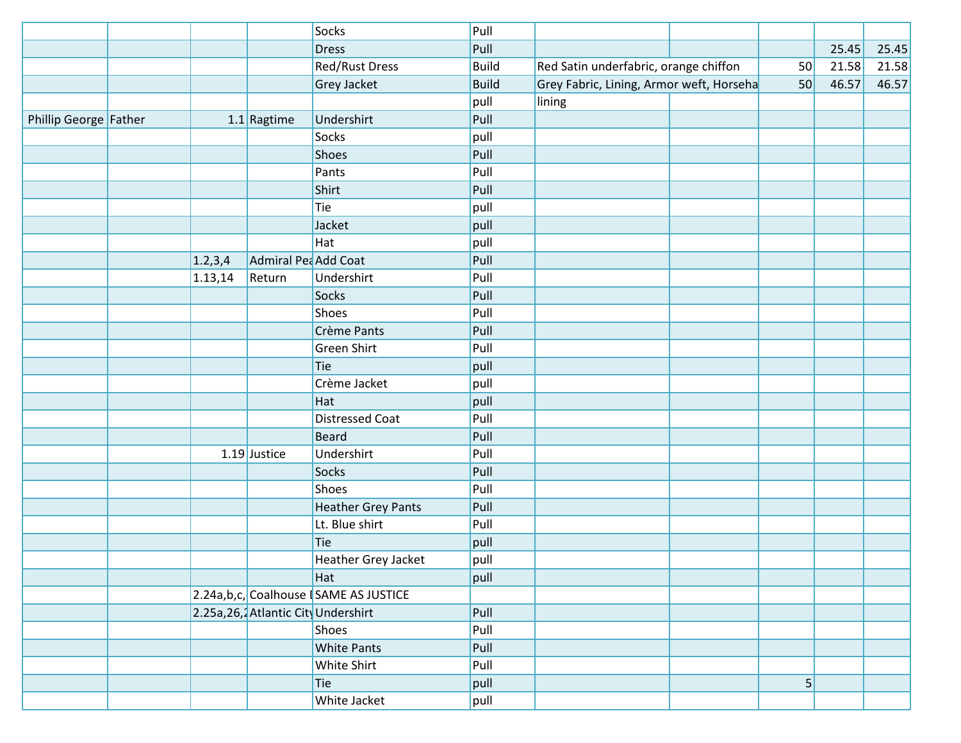|                       |           |                                     | Socks                                  | Pull         |                                          |                |       |       |
|-----------------------|-----------|-------------------------------------|----------------------------------------|--------------|------------------------------------------|----------------|-------|-------|
|                       |           |                                     | <b>Dress</b>                           | Pull         |                                          |                | 25.45 | 25.45 |
|                       |           |                                     | <b>Red/Rust Dress</b>                  | <b>Build</b> | Red Satin underfabric, orange chiffon    | 50             | 21.58 | 21.58 |
|                       |           |                                     | <b>Grey Jacket</b>                     | <b>Build</b> | Grey Fabric, Lining, Armor weft, Horseha | 50             | 46.57 | 46.57 |
|                       |           |                                     |                                        | pull         | lining                                   |                |       |       |
| Phillip George Father |           | $1.1$ Ragtime                       | Undershirt                             | Pull         |                                          |                |       |       |
|                       |           |                                     | Socks                                  | pull         |                                          |                |       |       |
|                       |           |                                     | <b>Shoes</b>                           | Pull         |                                          |                |       |       |
|                       |           |                                     | Pants                                  | Pull         |                                          |                |       |       |
|                       |           |                                     | Shirt                                  | Pull         |                                          |                |       |       |
|                       |           |                                     | Tie                                    | pull         |                                          |                |       |       |
|                       |           |                                     | Jacket                                 | pull         |                                          |                |       |       |
|                       |           |                                     | Hat                                    | pull         |                                          |                |       |       |
|                       | 1.2, 3, 4 | Admiral Pea Add Coat                |                                        | Pull         |                                          |                |       |       |
|                       | 1.13,14   | Return                              | Undershirt                             | Pull         |                                          |                |       |       |
|                       |           |                                     | Socks                                  | Pull         |                                          |                |       |       |
|                       |           |                                     | <b>Shoes</b>                           | Pull         |                                          |                |       |       |
|                       |           |                                     | Crème Pants                            | Pull         |                                          |                |       |       |
|                       |           |                                     | Green Shirt                            | Pull         |                                          |                |       |       |
|                       |           |                                     | Tie                                    | pull         |                                          |                |       |       |
|                       |           |                                     | Crème Jacket                           | pull         |                                          |                |       |       |
|                       |           |                                     | Hat                                    | pull         |                                          |                |       |       |
|                       |           |                                     | <b>Distressed Coat</b>                 | Pull         |                                          |                |       |       |
|                       |           |                                     | <b>Beard</b>                           | Pull         |                                          |                |       |       |
|                       |           | $1.19$ Justice                      | Undershirt                             | Pull         |                                          |                |       |       |
|                       |           |                                     | Socks                                  | Pull         |                                          |                |       |       |
|                       |           |                                     | <b>Shoes</b>                           | Pull         |                                          |                |       |       |
|                       |           |                                     | <b>Heather Grey Pants</b>              | Pull         |                                          |                |       |       |
|                       |           |                                     | Lt. Blue shirt                         | Pull         |                                          |                |       |       |
|                       |           |                                     | Tie                                    | pull         |                                          |                |       |       |
|                       |           |                                     | Heather Grey Jacket                    | pull         |                                          |                |       |       |
|                       |           |                                     | Hat                                    | pull         |                                          |                |       |       |
|                       |           |                                     | 2.24a,b,c, Coalhouse   SAME AS JUSTICE |              |                                          |                |       |       |
|                       |           | 2.25a, 26, Atlantic City Undershirt |                                        | Pull         |                                          |                |       |       |
|                       |           |                                     | Shoes                                  | Pull         |                                          |                |       |       |
|                       |           |                                     | <b>White Pants</b>                     | Pull         |                                          |                |       |       |
|                       |           |                                     | White Shirt                            | Pull         |                                          |                |       |       |
|                       |           |                                     | Tie                                    | pull         |                                          | $\overline{5}$ |       |       |
|                       |           |                                     | White Jacket                           | pull         |                                          |                |       |       |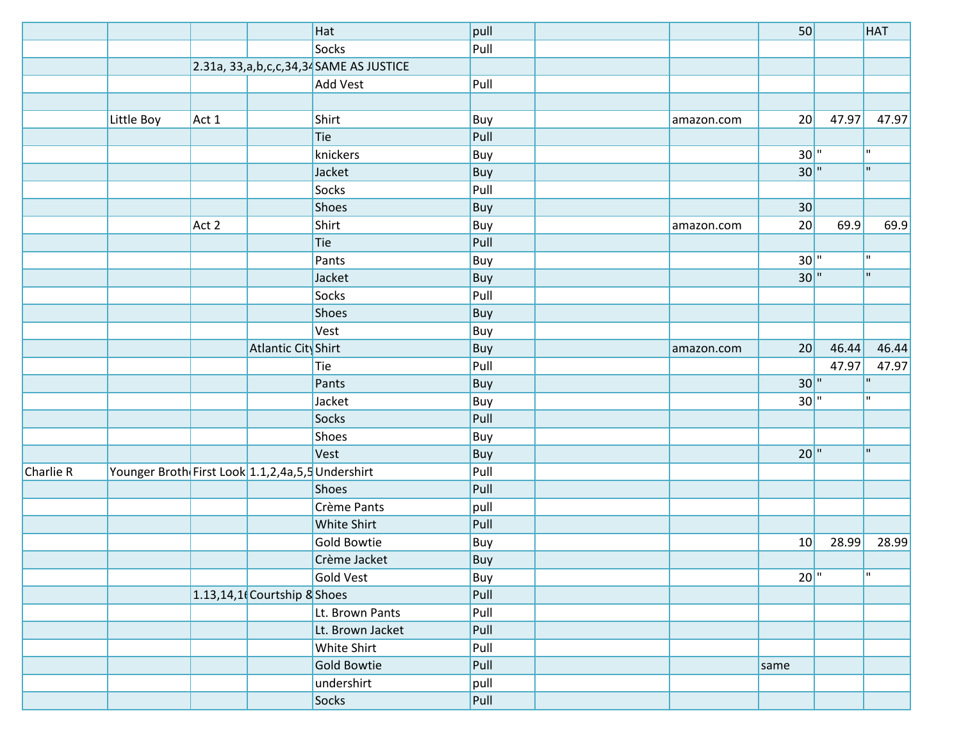|           |                                                      |       |                               | Hat                                        | pull |            | 50                |       | <b>HAT</b>   |
|-----------|------------------------------------------------------|-------|-------------------------------|--------------------------------------------|------|------------|-------------------|-------|--------------|
|           |                                                      |       |                               | Socks                                      | Pull |            |                   |       |              |
|           |                                                      |       |                               | $2.31a$ , 33,a,b,c,c,34,34 SAME AS JUSTICE |      |            |                   |       |              |
|           |                                                      |       |                               | <b>Add Vest</b>                            | Pull |            |                   |       |              |
|           |                                                      |       |                               |                                            |      |            |                   |       |              |
|           | Little Boy                                           | Act 1 |                               | Shirt                                      | Buy  | amazon.com | 20                | 47.97 | 47.97        |
|           |                                                      |       |                               | Tie                                        | Pull |            |                   |       |              |
|           |                                                      |       |                               | knickers                                   | Buy  |            | 30"               |       | $\mathbf{H}$ |
|           |                                                      |       |                               | Jacket                                     | Buy  |            | 30"               |       | $\mathbf{u}$ |
|           |                                                      |       |                               | Socks                                      | Pull |            |                   |       |              |
|           |                                                      |       |                               | Shoes                                      | Buy  |            | 30                |       |              |
|           |                                                      | Act 2 |                               | Shirt                                      | Buy  | amazon.com | 20                | 69.9  | 69.9         |
|           |                                                      |       |                               | Tie                                        | Pull |            |                   |       |              |
|           |                                                      |       |                               | Pants                                      | Buy  |            | $30$ <sup>"</sup> |       | H.           |
|           |                                                      |       |                               | Jacket                                     | Buy  |            | 30"               |       | $\mathbf{u}$ |
|           |                                                      |       |                               | Socks                                      | Pull |            |                   |       |              |
|           |                                                      |       |                               | <b>Shoes</b>                               | Buy  |            |                   |       |              |
|           |                                                      |       |                               | Vest                                       | Buy  |            |                   |       |              |
|           |                                                      |       | Atlantic City Shirt           |                                            | Buy  | amazon.com | 20                | 46.44 | 46.44        |
|           |                                                      |       |                               | Tie                                        | Pull |            |                   | 47.97 | 47.97        |
|           |                                                      |       |                               | Pants                                      | Buy  |            | 30"               |       | H            |
|           |                                                      |       |                               | Jacket                                     | Buy  |            | $30$ <sup>"</sup> |       | H.           |
|           |                                                      |       |                               | Socks                                      | Pull |            |                   |       |              |
|           |                                                      |       |                               | Shoes                                      | Buy  |            |                   |       |              |
|           |                                                      |       |                               | Vest                                       | Buy  |            | $20$ <sup>"</sup> |       | H.           |
| Charlie R | Younger Broth First Look 1.1, 2, 4a, 5, 5 Undershirt |       |                               |                                            | Pull |            |                   |       |              |
|           |                                                      |       |                               | Shoes                                      | Pull |            |                   |       |              |
|           |                                                      |       |                               | Crème Pants                                | pull |            |                   |       |              |
|           |                                                      |       |                               | White Shirt                                | Pull |            |                   |       |              |
|           |                                                      |       |                               | Gold Bowtie                                | Buy  |            | 10                | 28.99 | 28.99        |
|           |                                                      |       |                               | Crème Jacket                               | Buy  |            |                   |       |              |
|           |                                                      |       |                               | Gold Vest                                  | Buy  |            | $20$ <sup>"</sup> |       | m.           |
|           |                                                      |       | $1.13,14,1$ Courtship & Shoes |                                            | Pull |            |                   |       |              |
|           |                                                      |       |                               | Lt. Brown Pants                            | Pull |            |                   |       |              |
|           |                                                      |       |                               | Lt. Brown Jacket                           | Pull |            |                   |       |              |
|           |                                                      |       |                               | White Shirt                                | Pull |            |                   |       |              |
|           |                                                      |       |                               | <b>Gold Bowtie</b>                         | Pull |            | same              |       |              |
|           |                                                      |       |                               | undershirt                                 | pull |            |                   |       |              |
|           |                                                      |       |                               | Socks                                      | Pull |            |                   |       |              |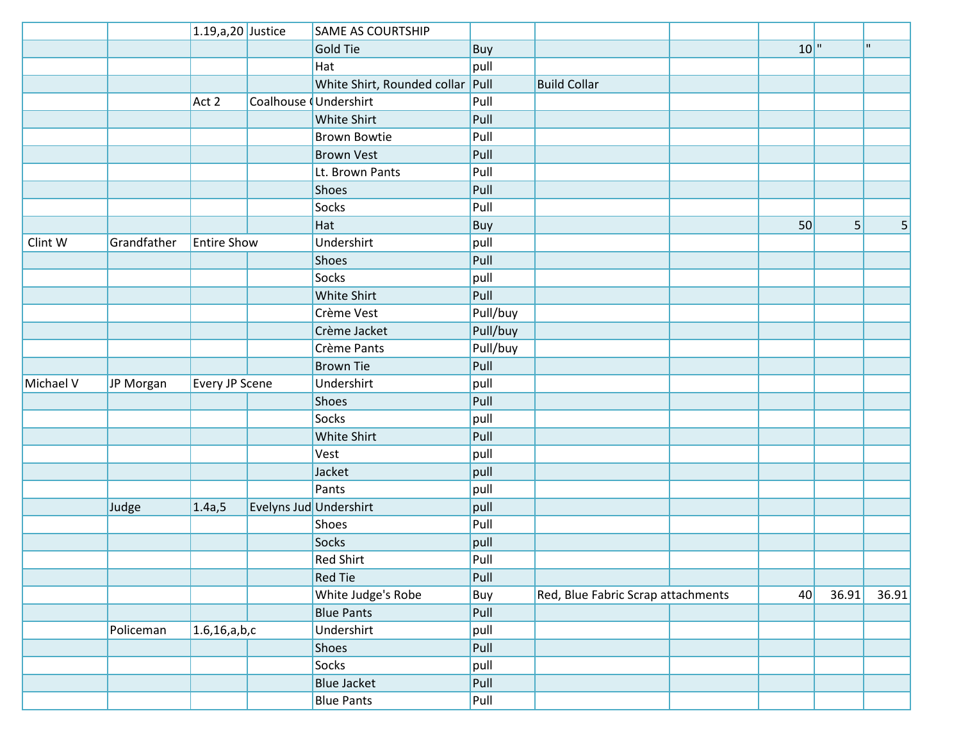|           |             | 1.19, a, 20 Justice |                        | SAME AS COURTSHIP                |          |                                    |                   |       |             |
|-----------|-------------|---------------------|------------------------|----------------------------------|----------|------------------------------------|-------------------|-------|-------------|
|           |             |                     |                        | <b>Gold Tie</b>                  | Buy      |                                    | $10$ <sup>"</sup> |       | $\mathbf H$ |
|           |             |                     |                        | Hat                              | pull     |                                    |                   |       |             |
|           |             |                     |                        | White Shirt, Rounded collar Pull |          | <b>Build Collar</b>                |                   |       |             |
|           |             | Act 2               | Coalhouse (Undershirt  |                                  | Pull     |                                    |                   |       |             |
|           |             |                     |                        | White Shirt                      | Pull     |                                    |                   |       |             |
|           |             |                     |                        | <b>Brown Bowtie</b>              | Pull     |                                    |                   |       |             |
|           |             |                     |                        | <b>Brown Vest</b>                | Pull     |                                    |                   |       |             |
|           |             |                     |                        | Lt. Brown Pants                  | Pull     |                                    |                   |       |             |
|           |             |                     |                        | Shoes                            | Pull     |                                    |                   |       |             |
|           |             |                     |                        | Socks                            | Pull     |                                    |                   |       |             |
|           |             |                     |                        | Hat                              | Buy      |                                    | 50                | 5     | 5           |
| Clint W   | Grandfather | <b>Entire Show</b>  |                        | Undershirt                       | pull     |                                    |                   |       |             |
|           |             |                     |                        | Shoes                            | Pull     |                                    |                   |       |             |
|           |             |                     |                        | Socks                            | pull     |                                    |                   |       |             |
|           |             |                     |                        | White Shirt                      | Pull     |                                    |                   |       |             |
|           |             |                     |                        | Crème Vest                       | Pull/buy |                                    |                   |       |             |
|           |             |                     |                        | Crème Jacket                     | Pull/buy |                                    |                   |       |             |
|           |             |                     |                        | Crème Pants                      | Pull/buy |                                    |                   |       |             |
|           |             |                     |                        | <b>Brown Tie</b>                 | Pull     |                                    |                   |       |             |
| Michael V | JP Morgan   | Every JP Scene      |                        | Undershirt                       | pull     |                                    |                   |       |             |
|           |             |                     |                        | Shoes                            | Pull     |                                    |                   |       |             |
|           |             |                     |                        | Socks                            | pull     |                                    |                   |       |             |
|           |             |                     |                        | White Shirt                      | Pull     |                                    |                   |       |             |
|           |             |                     |                        | Vest                             | pull     |                                    |                   |       |             |
|           |             |                     |                        | Jacket                           | pull     |                                    |                   |       |             |
|           |             |                     |                        | Pants                            | pull     |                                    |                   |       |             |
|           | Judge       | 1.4a, 5             | Evelyns Jud Undershirt |                                  | pull     |                                    |                   |       |             |
|           |             |                     |                        | Shoes                            | Pull     |                                    |                   |       |             |
|           |             |                     |                        | Socks                            | pull     |                                    |                   |       |             |
|           |             |                     |                        | <b>Red Shirt</b>                 | Pull     |                                    |                   |       |             |
|           |             |                     |                        | <b>Red Tie</b>                   | Pull     |                                    |                   |       |             |
|           |             |                     |                        | White Judge's Robe               | Buy      | Red, Blue Fabric Scrap attachments | 40                | 36.91 | 36.91       |
|           |             |                     |                        | <b>Blue Pants</b>                | Pull     |                                    |                   |       |             |
|           | Policeman   | 1.6, 16, a, b, c    |                        | Undershirt                       | pull     |                                    |                   |       |             |
|           |             |                     |                        | Shoes                            | Pull     |                                    |                   |       |             |
|           |             |                     |                        | Socks                            | pull     |                                    |                   |       |             |
|           |             |                     |                        | <b>Blue Jacket</b>               | Pull     |                                    |                   |       |             |
|           |             |                     |                        | <b>Blue Pants</b>                | Pull     |                                    |                   |       |             |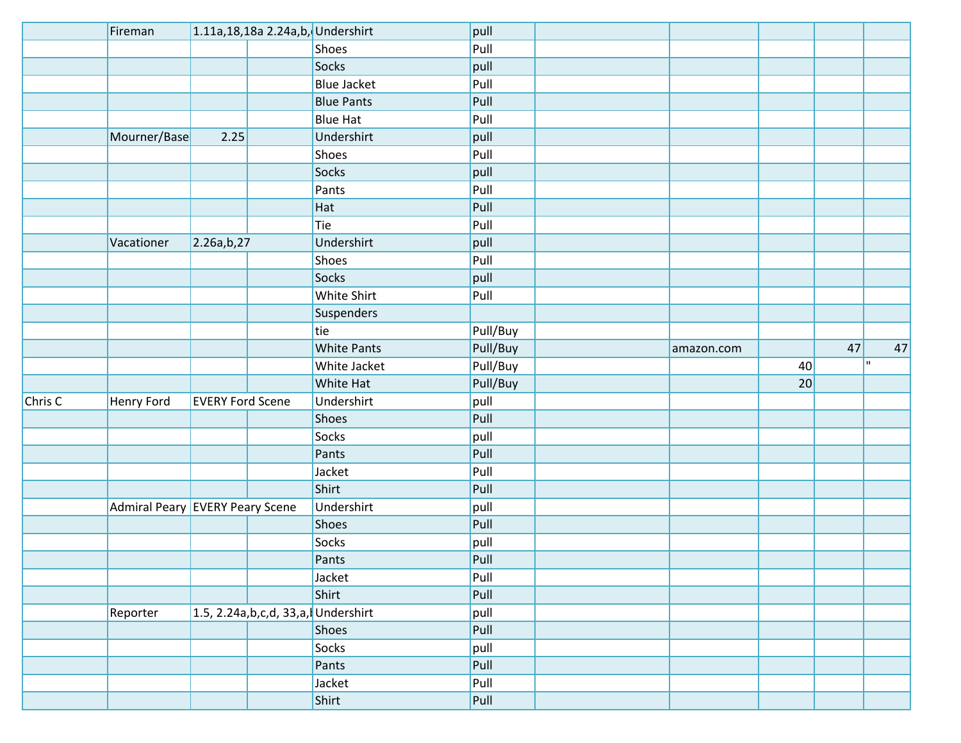|         | Fireman                         |                         | 1.11a, 18, 18a 2.24a, b, Undershirt    |                    | pull     |            |    |    |             |
|---------|---------------------------------|-------------------------|----------------------------------------|--------------------|----------|------------|----|----|-------------|
|         |                                 |                         |                                        | Shoes              | Pull     |            |    |    |             |
|         |                                 |                         |                                        | Socks              | pull     |            |    |    |             |
|         |                                 |                         |                                        | <b>Blue Jacket</b> | Pull     |            |    |    |             |
|         |                                 |                         |                                        | <b>Blue Pants</b>  | Pull     |            |    |    |             |
|         |                                 |                         |                                        | <b>Blue Hat</b>    | Pull     |            |    |    |             |
|         | Mourner/Base                    | 2.25                    |                                        | Undershirt         | pull     |            |    |    |             |
|         |                                 |                         |                                        | Shoes              | Pull     |            |    |    |             |
|         |                                 |                         |                                        | Socks              | pull     |            |    |    |             |
|         |                                 |                         |                                        | Pants              | Pull     |            |    |    |             |
|         |                                 |                         |                                        | Hat                | Pull     |            |    |    |             |
|         |                                 |                         |                                        | Tie                | Pull     |            |    |    |             |
|         | Vacationer                      | 2.26a,b,27              |                                        | Undershirt         | pull     |            |    |    |             |
|         |                                 |                         |                                        | Shoes              | Pull     |            |    |    |             |
|         |                                 |                         |                                        | Socks              | pull     |            |    |    |             |
|         |                                 |                         |                                        | White Shirt        | Pull     |            |    |    |             |
|         |                                 |                         |                                        | Suspenders         |          |            |    |    |             |
|         |                                 |                         |                                        | tie                | Pull/Buy |            |    |    |             |
|         |                                 |                         |                                        | <b>White Pants</b> | Pull/Buy | amazon.com |    | 47 | 47          |
|         |                                 |                         |                                        | White Jacket       | Pull/Buy |            | 40 |    | $\mathbf H$ |
|         |                                 |                         |                                        | White Hat          | Pull/Buy |            | 20 |    |             |
| Chris C | Henry Ford                      | <b>EVERY Ford Scene</b> |                                        | Undershirt         | pull     |            |    |    |             |
|         |                                 |                         |                                        | Shoes              | Pull     |            |    |    |             |
|         |                                 |                         |                                        | Socks              | pull     |            |    |    |             |
|         |                                 |                         |                                        | Pants              | Pull     |            |    |    |             |
|         |                                 |                         |                                        | Jacket             | Pull     |            |    |    |             |
|         |                                 |                         |                                        | Shirt              | Pull     |            |    |    |             |
|         | Admiral Peary EVERY Peary Scene |                         |                                        | Undershirt         | pull     |            |    |    |             |
|         |                                 |                         |                                        | Shoes              | Pull     |            |    |    |             |
|         |                                 |                         |                                        | Socks              | pull     |            |    |    |             |
|         |                                 |                         |                                        | Pants              | Pull     |            |    |    |             |
|         |                                 |                         |                                        | Jacket             | Pull     |            |    |    |             |
|         |                                 |                         |                                        | Shirt              | Pull     |            |    |    |             |
|         | Reporter                        |                         | 1.5, 2.24a, b, c, d, 33, a, Undershirt |                    | pull     |            |    |    |             |
|         |                                 |                         |                                        | Shoes              | Pull     |            |    |    |             |
|         |                                 |                         |                                        | Socks              | pull     |            |    |    |             |
|         |                                 |                         |                                        | Pants              | Pull     |            |    |    |             |
|         |                                 |                         |                                        | Jacket             | Pull     |            |    |    |             |
|         |                                 |                         |                                        | Shirt              | Pull     |            |    |    |             |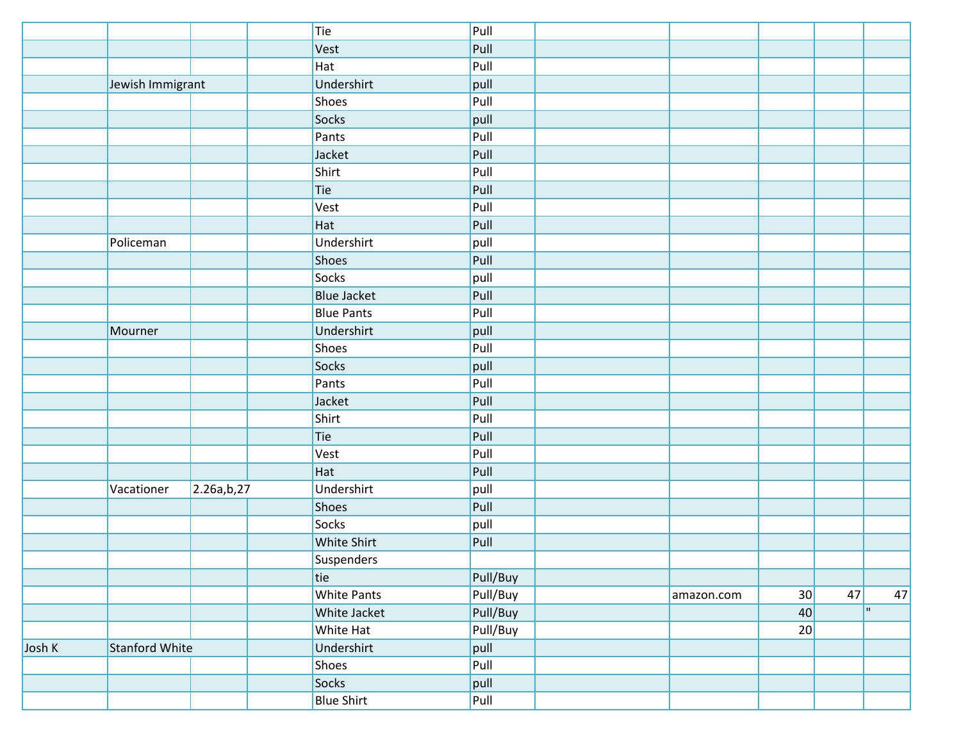|        |                       |            | Tie |                    | Pull     |            |    |    |    |
|--------|-----------------------|------------|-----|--------------------|----------|------------|----|----|----|
|        |                       |            |     | Vest               | Pull     |            |    |    |    |
|        |                       |            |     | Hat                | Pull     |            |    |    |    |
|        | Jewish Immigrant      |            |     | Undershirt         | pull     |            |    |    |    |
|        |                       |            |     | <b>Shoes</b>       | Pull     |            |    |    |    |
|        |                       |            |     | Socks              | pull     |            |    |    |    |
|        |                       |            |     | Pants              | Pull     |            |    |    |    |
|        |                       |            |     | Jacket             | Pull     |            |    |    |    |
|        |                       |            |     | Shirt              | Pull     |            |    |    |    |
|        |                       |            | Tie |                    | Pull     |            |    |    |    |
|        |                       |            |     | Vest               | Pull     |            |    |    |    |
|        |                       |            |     | Hat                | Pull     |            |    |    |    |
|        | Policeman             |            |     | Undershirt         | pull     |            |    |    |    |
|        |                       |            |     | <b>Shoes</b>       | Pull     |            |    |    |    |
|        |                       |            |     | <b>Socks</b>       | pull     |            |    |    |    |
|        |                       |            |     | <b>Blue Jacket</b> | Pull     |            |    |    |    |
|        |                       |            |     | <b>Blue Pants</b>  | Pull     |            |    |    |    |
|        | Mourner               |            |     | Undershirt         | pull     |            |    |    |    |
|        |                       |            |     | Shoes              | Pull     |            |    |    |    |
|        |                       |            |     | <b>Socks</b>       | pull     |            |    |    |    |
|        |                       |            |     | Pants              | Pull     |            |    |    |    |
|        |                       |            |     | Jacket             | Pull     |            |    |    |    |
|        |                       |            |     | Shirt              | Pull     |            |    |    |    |
|        |                       |            | Tie |                    | Pull     |            |    |    |    |
|        |                       |            |     | Vest               | Pull     |            |    |    |    |
|        |                       |            |     | Hat                | Pull     |            |    |    |    |
|        | Vacationer            | 2.26a,b,27 |     | Undershirt         | pull     |            |    |    |    |
|        |                       |            |     | Shoes              | Pull     |            |    |    |    |
|        |                       |            |     | Socks              | pull     |            |    |    |    |
|        |                       |            |     | White Shirt        | Pull     |            |    |    |    |
|        |                       |            |     | Suspenders         |          |            |    |    |    |
|        |                       |            | tie |                    | Pull/Buy |            |    |    |    |
|        |                       |            |     | <b>White Pants</b> | Pull/Buy | amazon.com | 30 | 47 | 47 |
|        |                       |            |     | White Jacket       | Pull/Buy |            | 40 |    | H. |
|        |                       |            |     | White Hat          | Pull/Buy |            | 20 |    |    |
| Josh K | <b>Stanford White</b> |            |     | Undershirt         | pull     |            |    |    |    |
|        |                       |            |     | Shoes              | Pull     |            |    |    |    |
|        |                       |            |     | Socks              | pull     |            |    |    |    |
|        |                       |            |     | <b>Blue Shirt</b>  | Pull     |            |    |    |    |
|        |                       |            |     |                    |          |            |    |    |    |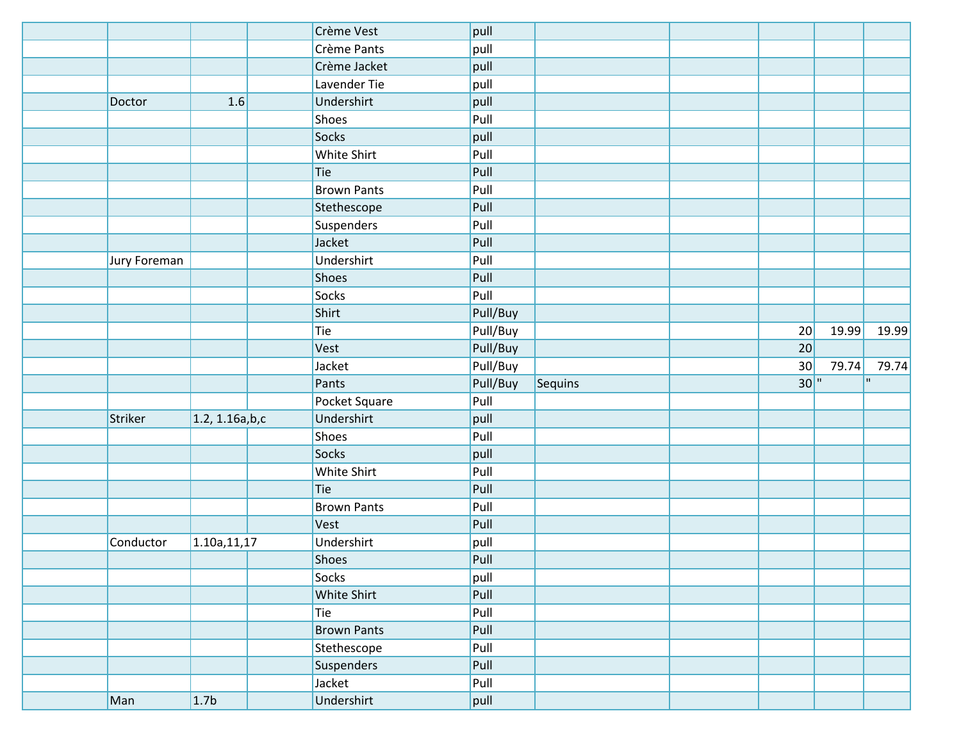|              |                  | Crème Vest         | pull     |         |     |       |              |
|--------------|------------------|--------------------|----------|---------|-----|-------|--------------|
|              |                  | Crème Pants        | pull     |         |     |       |              |
|              |                  | Crème Jacket       | pull     |         |     |       |              |
|              |                  | Lavender Tie       | pull     |         |     |       |              |
| Doctor       | 1.6              | Undershirt         | pull     |         |     |       |              |
|              |                  | Shoes              | Pull     |         |     |       |              |
|              |                  | <b>Socks</b>       | pull     |         |     |       |              |
|              |                  | White Shirt        | Pull     |         |     |       |              |
|              |                  | Tie                | Pull     |         |     |       |              |
|              |                  | <b>Brown Pants</b> | Pull     |         |     |       |              |
|              |                  | Stethescope        | Pull     |         |     |       |              |
|              |                  | Suspenders         | Pull     |         |     |       |              |
|              |                  | Jacket             | Pull     |         |     |       |              |
| Jury Foreman |                  | Undershirt         | Pull     |         |     |       |              |
|              |                  | <b>Shoes</b>       | Pull     |         |     |       |              |
|              |                  | <b>Socks</b>       | Pull     |         |     |       |              |
|              |                  | Shirt              | Pull/Buy |         |     |       |              |
|              |                  | Tie                | Pull/Buy |         | 20  | 19.99 | 19.99        |
|              |                  | Vest               | Pull/Buy |         | 20  |       |              |
|              |                  |                    |          |         |     |       |              |
|              |                  | Jacket             | Pull/Buy |         | 30  | 79.74 | 79.74        |
|              |                  | Pants              | Pull/Buy | Sequins | 30" |       | $\mathbf{H}$ |
|              |                  | Pocket Square      | Pull     |         |     |       |              |
| Striker      | 1.2, 1.16a, b, c | Undershirt         | pull     |         |     |       |              |
|              |                  | Shoes              | Pull     |         |     |       |              |
|              |                  | <b>Socks</b>       | pull     |         |     |       |              |
|              |                  | White Shirt        | Pull     |         |     |       |              |
|              |                  | Tie                | Pull     |         |     |       |              |
|              |                  | <b>Brown Pants</b> | Pull     |         |     |       |              |
|              |                  | Vest               | Pull     |         |     |       |              |
| Conductor    | 1.10a,11,17      | Undershirt         | pull     |         |     |       |              |
|              |                  | Shoes              | Pull     |         |     |       |              |
|              |                  | Socks              | pull     |         |     |       |              |
|              |                  | White Shirt        | Pull     |         |     |       |              |
|              |                  | Tie                | Pull     |         |     |       |              |
|              |                  | <b>Brown Pants</b> | Pull     |         |     |       |              |
|              |                  | Stethescope        | Pull     |         |     |       |              |
|              |                  | Suspenders         | Pull     |         |     |       |              |
|              |                  | Jacket             | Pull     |         |     |       |              |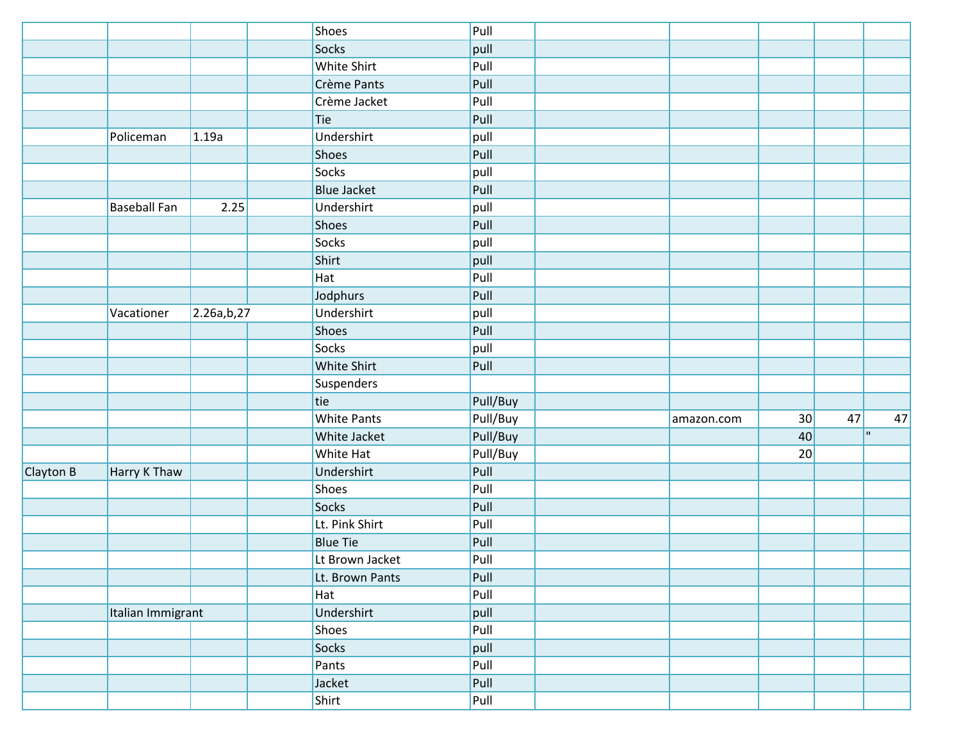|           |                     |            | Shoes              | Pull     |            |    |    |    |    |
|-----------|---------------------|------------|--------------------|----------|------------|----|----|----|----|
|           |                     |            | Socks              | pull     |            |    |    |    |    |
|           |                     |            | White Shirt        | Pull     |            |    |    |    |    |
|           |                     |            | Crème Pants        | Pull     |            |    |    |    |    |
|           |                     |            | Crème Jacket       | Pull     |            |    |    |    |    |
|           |                     |            | Tie                | Pull     |            |    |    |    |    |
|           | Policeman           | 1.19a      | Undershirt         | pull     |            |    |    |    |    |
|           |                     |            | <b>Shoes</b>       | Pull     |            |    |    |    |    |
|           |                     |            | <b>Socks</b>       | pull     |            |    |    |    |    |
|           |                     |            | <b>Blue Jacket</b> | Pull     |            |    |    |    |    |
|           | <b>Baseball Fan</b> | 2.25       | Undershirt         | pull     |            |    |    |    |    |
|           |                     |            | Shoes              | Pull     |            |    |    |    |    |
|           |                     |            | Socks              | pull     |            |    |    |    |    |
|           |                     |            | Shirt              | pull     |            |    |    |    |    |
|           |                     |            | Hat                | Pull     |            |    |    |    |    |
|           |                     |            | Jodphurs           | Pull     |            |    |    |    |    |
|           | Vacationer          | 2.26a,b,27 | Undershirt         | pull     |            |    |    |    |    |
|           |                     |            | <b>Shoes</b>       | Pull     |            |    |    |    |    |
|           |                     |            | <b>Socks</b>       | pull     |            |    |    |    |    |
|           |                     |            | White Shirt        | Pull     |            |    |    |    |    |
|           |                     |            | Suspenders         |          |            |    |    |    |    |
|           |                     |            | tie                | Pull/Buy |            |    |    |    |    |
|           |                     |            | <b>White Pants</b> | Pull/Buy | amazon.com | 30 | 47 |    | 47 |
|           |                     |            | White Jacket       | Pull/Buy |            | 40 |    | H. |    |
|           |                     |            | <b>White Hat</b>   | Pull/Buy |            | 20 |    |    |    |
| Clayton B | Harry K Thaw        |            | Undershirt         | Pull     |            |    |    |    |    |
|           |                     |            | <b>Shoes</b>       | Pull     |            |    |    |    |    |
|           |                     |            | <b>Socks</b>       | Pull     |            |    |    |    |    |
|           |                     |            | Lt. Pink Shirt     | Pull     |            |    |    |    |    |
|           |                     |            | <b>Blue Tie</b>    | Pull     |            |    |    |    |    |
|           |                     |            | Lt Brown Jacket    | Pull     |            |    |    |    |    |
|           |                     |            | Lt. Brown Pants    | Pull     |            |    |    |    |    |
|           |                     |            | Hat                | Pull     |            |    |    |    |    |
|           | Italian Immigrant   |            | Undershirt         | pull     |            |    |    |    |    |
|           |                     |            | Shoes              | Pull     |            |    |    |    |    |
|           |                     |            | Socks              | pull     |            |    |    |    |    |
|           |                     |            | Pants              | Pull     |            |    |    |    |    |
|           |                     |            | Jacket             | Pull     |            |    |    |    |    |
|           |                     |            | Shirt              | Pull     |            |    |    |    |    |
|           |                     |            |                    |          |            |    |    |    |    |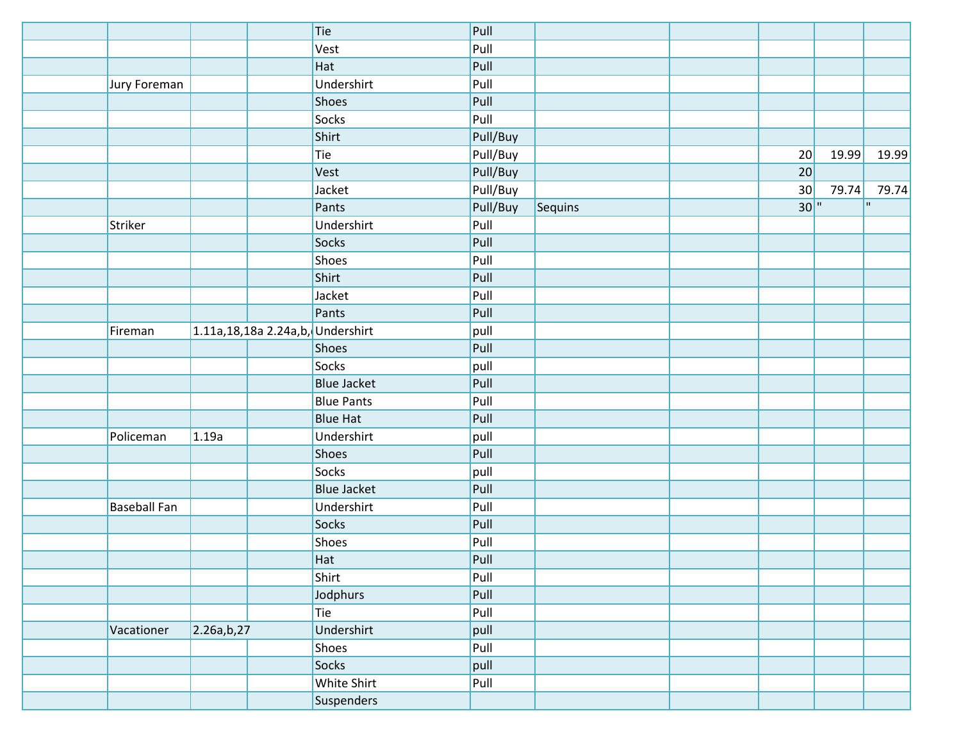|                     |            | Tie                                  | Pull     |         |     |       |           |
|---------------------|------------|--------------------------------------|----------|---------|-----|-------|-----------|
|                     |            | Vest                                 | Pull     |         |     |       |           |
|                     |            | Hat                                  | Pull     |         |     |       |           |
| Jury Foreman        |            | Undershirt                           | Pull     |         |     |       |           |
|                     |            | Shoes                                | Pull     |         |     |       |           |
|                     |            | <b>Socks</b>                         | Pull     |         |     |       |           |
|                     |            | Shirt                                | Pull/Buy |         |     |       |           |
|                     |            | Tie                                  | Pull/Buy |         | 20  | 19.99 | 19.99     |
|                     |            | Vest                                 | Pull/Buy |         | 20  |       |           |
|                     |            | Jacket                               | Pull/Buy |         | 30  | 79.74 | 79.74     |
|                     |            | Pants                                | Pull/Buy | Sequins | 30" |       | <b>II</b> |
| Striker             |            | Undershirt                           | Pull     |         |     |       |           |
|                     |            | Socks                                | Pull     |         |     |       |           |
|                     |            | Shoes                                | Pull     |         |     |       |           |
|                     |            | Shirt                                | Pull     |         |     |       |           |
|                     |            | Jacket                               | Pull     |         |     |       |           |
|                     |            | Pants                                | Pull     |         |     |       |           |
| Fireman             |            | $1.11a, 18, 18a 2.24a,b,$ Undershirt | pull     |         |     |       |           |
|                     |            | Shoes                                | Pull     |         |     |       |           |
|                     |            | Socks                                | pull     |         |     |       |           |
|                     |            | <b>Blue Jacket</b>                   | Pull     |         |     |       |           |
|                     |            | <b>Blue Pants</b>                    | Pull     |         |     |       |           |
|                     |            | <b>Blue Hat</b>                      | Pull     |         |     |       |           |
| Policeman           | 1.19a      | Undershirt                           | pull     |         |     |       |           |
|                     |            | Shoes                                | Pull     |         |     |       |           |
|                     |            | Socks                                | pull     |         |     |       |           |
|                     |            | <b>Blue Jacket</b>                   | Pull     |         |     |       |           |
| <b>Baseball Fan</b> |            | Undershirt                           | Pull     |         |     |       |           |
|                     |            | Socks                                | Pull     |         |     |       |           |
|                     |            | Shoes                                | Pull     |         |     |       |           |
|                     |            | Hat                                  | Pull     |         |     |       |           |
|                     |            | Shirt                                | Pull     |         |     |       |           |
|                     |            | Jodphurs                             | Pull     |         |     |       |           |
|                     |            | Tie                                  | Pull     |         |     |       |           |
| Vacationer          | 2.26a,b,27 | Undershirt                           | pull     |         |     |       |           |
|                     |            | <b>Shoes</b>                         | Pull     |         |     |       |           |
|                     |            | Socks                                | pull     |         |     |       |           |
|                     |            | White Shirt                          | Pull     |         |     |       |           |
|                     |            | Suspenders                           |          |         |     |       |           |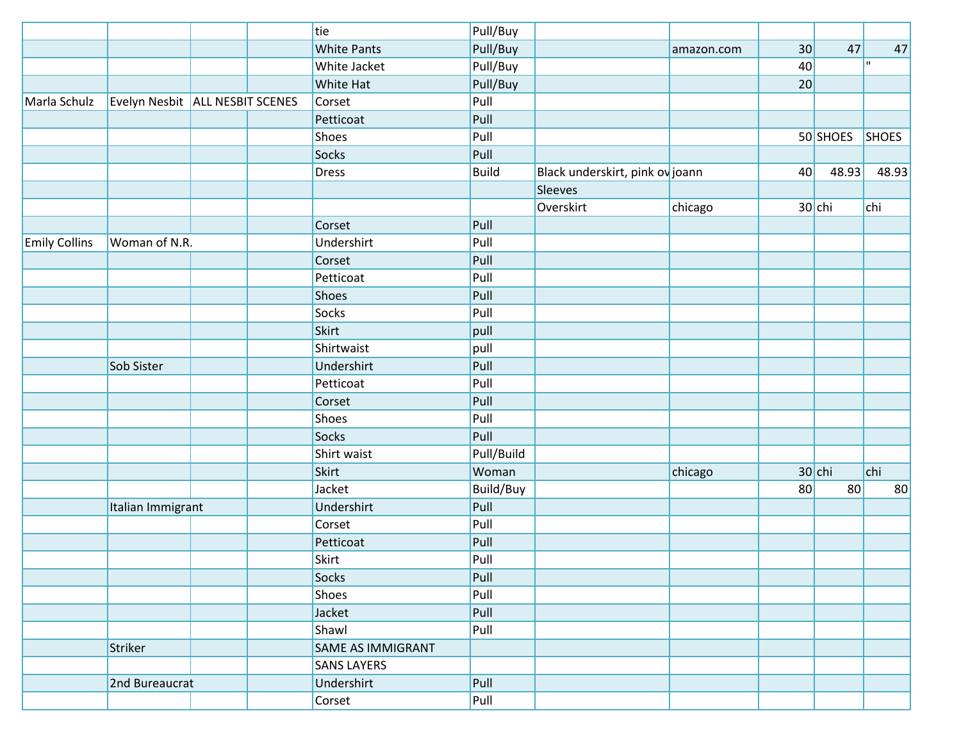|                      |                                   |  | tie                      | Pull/Buy     |                                 |            |    |          |              |
|----------------------|-----------------------------------|--|--------------------------|--------------|---------------------------------|------------|----|----------|--------------|
|                      |                                   |  | <b>White Pants</b>       | Pull/Buy     |                                 | amazon.com | 30 | 47       | 47           |
|                      |                                   |  | White Jacket             | Pull/Buy     |                                 |            | 40 |          | $\mathbf{H}$ |
|                      |                                   |  | <b>White Hat</b>         | Pull/Buy     |                                 |            | 20 |          |              |
| Marla Schulz         | Evelyn Nesbit   ALL NESBIT SCENES |  | Corset                   | Pull         |                                 |            |    |          |              |
|                      |                                   |  | Petticoat                | Pull         |                                 |            |    |          |              |
|                      |                                   |  | Shoes                    | Pull         |                                 |            |    | 50 SHOES | <b>SHOES</b> |
|                      |                                   |  | <b>Socks</b>             | Pull         |                                 |            |    |          |              |
|                      |                                   |  | <b>Dress</b>             | <b>Build</b> | Black underskirt, pink ov joann |            | 40 | 48.93    | 48.93        |
|                      |                                   |  |                          |              | Sleeves                         |            |    |          |              |
|                      |                                   |  |                          |              | Overskirt                       | chicago    |    | $30$ chi | chi          |
|                      |                                   |  | Corset                   | Pull         |                                 |            |    |          |              |
| <b>Emily Collins</b> | Woman of N.R.                     |  | Undershirt               | Pull         |                                 |            |    |          |              |
|                      |                                   |  | Corset                   | Pull         |                                 |            |    |          |              |
|                      |                                   |  | Petticoat                | Pull         |                                 |            |    |          |              |
|                      |                                   |  | Shoes                    | Pull         |                                 |            |    |          |              |
|                      |                                   |  | Socks                    | Pull         |                                 |            |    |          |              |
|                      |                                   |  | Skirt                    | pull         |                                 |            |    |          |              |
|                      |                                   |  | Shirtwaist               | pull         |                                 |            |    |          |              |
|                      | Sob Sister                        |  | Undershirt               | Pull         |                                 |            |    |          |              |
|                      |                                   |  | Petticoat                | Pull         |                                 |            |    |          |              |
|                      |                                   |  | Corset                   | Pull         |                                 |            |    |          |              |
|                      |                                   |  | Shoes                    | Pull         |                                 |            |    |          |              |
|                      |                                   |  | Socks                    | Pull         |                                 |            |    |          |              |
|                      |                                   |  | Shirt waist              | Pull/Build   |                                 |            |    |          |              |
|                      |                                   |  | <b>Skirt</b>             | Woman        |                                 | chicago    |    | $30$ chi | chi          |
|                      |                                   |  | Jacket                   | Build/Buy    |                                 |            | 80 | 80       | 80           |
|                      | Italian Immigrant                 |  | Undershirt               | Pull         |                                 |            |    |          |              |
|                      |                                   |  | Corset                   | Pull         |                                 |            |    |          |              |
|                      |                                   |  | Petticoat                | Pull         |                                 |            |    |          |              |
|                      |                                   |  | Skirt                    | Pull         |                                 |            |    |          |              |
|                      |                                   |  | <b>Socks</b>             | Pull         |                                 |            |    |          |              |
|                      |                                   |  | Shoes                    | Pull         |                                 |            |    |          |              |
|                      |                                   |  | Jacket                   | Pull         |                                 |            |    |          |              |
|                      |                                   |  | Shawl                    | Pull         |                                 |            |    |          |              |
|                      | Striker                           |  | <b>SAME AS IMMIGRANT</b> |              |                                 |            |    |          |              |
|                      |                                   |  | <b>SANS LAYERS</b>       |              |                                 |            |    |          |              |
|                      | 2nd Bureaucrat                    |  | Undershirt               | Pull         |                                 |            |    |          |              |
|                      |                                   |  | Corset                   | Pull         |                                 |            |    |          |              |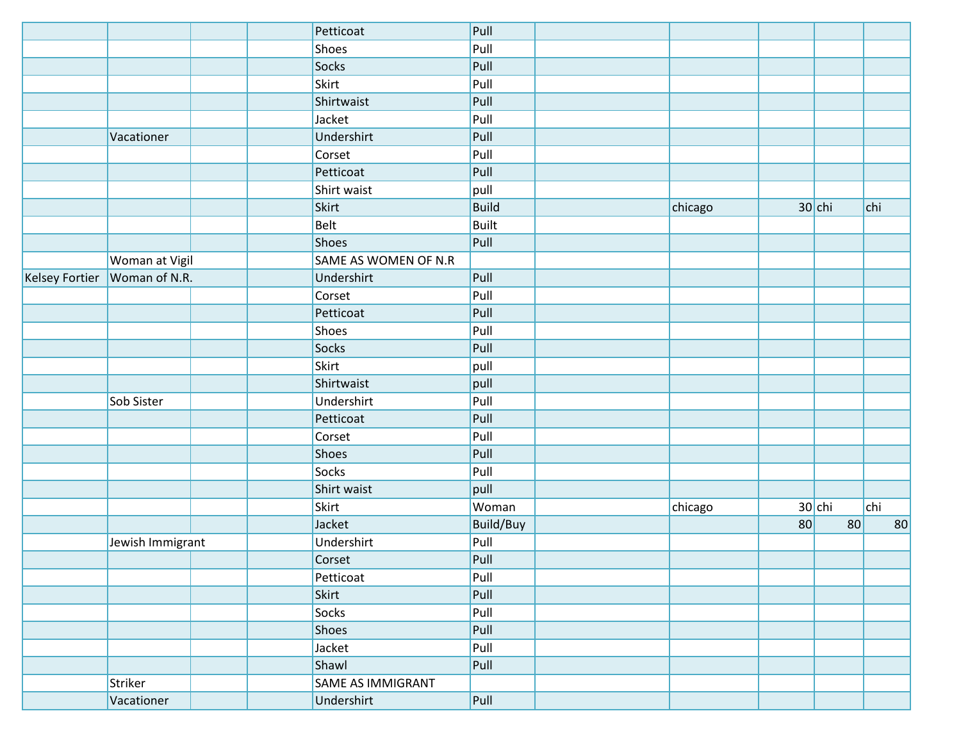|                       |                  | Petticoat                | Pull         |         |    |          |     |    |
|-----------------------|------------------|--------------------------|--------------|---------|----|----------|-----|----|
|                       |                  | Shoes                    | Pull         |         |    |          |     |    |
|                       |                  | Socks                    | Pull         |         |    |          |     |    |
|                       |                  | Skirt                    | Pull         |         |    |          |     |    |
|                       |                  | Shirtwaist               | Pull         |         |    |          |     |    |
|                       |                  | Jacket                   | Pull         |         |    |          |     |    |
|                       | Vacationer       | Undershirt               | Pull         |         |    |          |     |    |
|                       |                  | Corset                   | Pull         |         |    |          |     |    |
|                       |                  | Petticoat                | Pull         |         |    |          |     |    |
|                       |                  | Shirt waist              | pull         |         |    |          |     |    |
|                       |                  | Skirt                    | <b>Build</b> | chicago |    | $30$ chi | chi |    |
|                       |                  | Belt                     | <b>Built</b> |         |    |          |     |    |
|                       |                  | Shoes                    | Pull         |         |    |          |     |    |
|                       | Woman at Vigil   | SAME AS WOMEN OF N.R     |              |         |    |          |     |    |
| <b>Kelsey Fortier</b> | Woman of N.R.    | Undershirt               | Pull         |         |    |          |     |    |
|                       |                  | Corset                   | Pull         |         |    |          |     |    |
|                       |                  | Petticoat                | Pull         |         |    |          |     |    |
|                       |                  | Shoes                    | Pull         |         |    |          |     |    |
|                       |                  | Socks                    | Pull         |         |    |          |     |    |
|                       |                  | Skirt                    | pull         |         |    |          |     |    |
|                       |                  | Shirtwaist               | pull         |         |    |          |     |    |
|                       | Sob Sister       | Undershirt               | Pull         |         |    |          |     |    |
|                       |                  | Petticoat                | Pull         |         |    |          |     |    |
|                       |                  | Corset                   | Pull         |         |    |          |     |    |
|                       |                  | Shoes                    | Pull         |         |    |          |     |    |
|                       |                  | Socks                    | Pull         |         |    |          |     |    |
|                       |                  | Shirt waist              | pull         |         |    |          |     |    |
|                       |                  | Skirt                    | Woman        | chicago |    | $30$ chi | chi |    |
|                       |                  | Jacket                   | Build/Buy    |         | 80 | 80       |     | 80 |
|                       | Jewish Immigrant | Undershirt               | Pull         |         |    |          |     |    |
|                       |                  | Corset                   | Pull         |         |    |          |     |    |
|                       |                  | Petticoat                | Pull         |         |    |          |     |    |
|                       |                  | Skirt                    | Pull         |         |    |          |     |    |
|                       |                  | Socks                    | Pull         |         |    |          |     |    |
|                       |                  | Shoes                    | Pull         |         |    |          |     |    |
|                       |                  | Jacket                   | Pull         |         |    |          |     |    |
|                       |                  | Shawl                    | Pull         |         |    |          |     |    |
|                       | Striker          | <b>SAME AS IMMIGRANT</b> |              |         |    |          |     |    |
|                       | Vacationer       | Undershirt               | Pull         |         |    |          |     |    |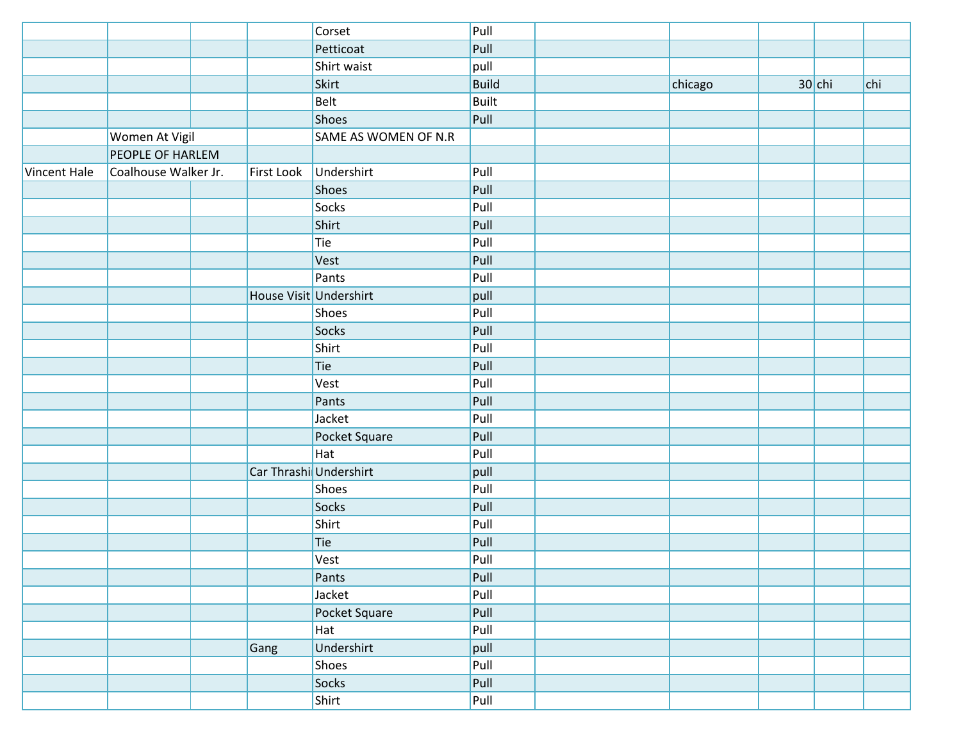|              |                      |                        | Corset               | Pull         |         |          |     |
|--------------|----------------------|------------------------|----------------------|--------------|---------|----------|-----|
|              |                      |                        | Petticoat            | Pull         |         |          |     |
|              |                      |                        | Shirt waist          | pull         |         |          |     |
|              |                      |                        | Skirt                | <b>Build</b> | chicago | $30$ chi | chi |
|              |                      |                        | Belt                 | <b>Built</b> |         |          |     |
|              |                      |                        | Shoes                | Pull         |         |          |     |
|              | Women At Vigil       |                        | SAME AS WOMEN OF N.R |              |         |          |     |
|              | PEOPLE OF HARLEM     |                        |                      |              |         |          |     |
| Vincent Hale | Coalhouse Walker Jr. | First Look             | Undershirt           | Pull         |         |          |     |
|              |                      |                        | <b>Shoes</b>         | Pull         |         |          |     |
|              |                      |                        | <b>Socks</b>         | Pull         |         |          |     |
|              |                      |                        | Shirt                | Pull         |         |          |     |
|              |                      |                        | Tie                  | Pull         |         |          |     |
|              |                      |                        | Vest                 | Pull         |         |          |     |
|              |                      |                        | Pants                | Pull         |         |          |     |
|              |                      | House Visit Undershirt |                      | pull         |         |          |     |
|              |                      |                        | Shoes                | Pull         |         |          |     |
|              |                      |                        | Socks                | Pull         |         |          |     |
|              |                      |                        | Shirt                | Pull         |         |          |     |
|              |                      |                        | Tie                  | Pull         |         |          |     |
|              |                      |                        | Vest                 | Pull         |         |          |     |
|              |                      |                        | Pants                | Pull         |         |          |     |
|              |                      |                        | Jacket               | Pull         |         |          |     |
|              |                      |                        | Pocket Square        | Pull         |         |          |     |
|              |                      |                        | Hat                  | Pull         |         |          |     |
|              |                      | Car Thrashi Undershirt |                      | pull         |         |          |     |
|              |                      |                        | Shoes                | Pull         |         |          |     |
|              |                      |                        | Socks                | Pull         |         |          |     |
|              |                      |                        | Shirt                | Pull         |         |          |     |
|              |                      |                        | Tie                  | Pull         |         |          |     |
|              |                      |                        | Vest                 | Pull         |         |          |     |
|              |                      |                        | Pants                | Pull         |         |          |     |
|              |                      |                        | Jacket               | Pull         |         |          |     |
|              |                      |                        | Pocket Square        | Pull         |         |          |     |
|              |                      |                        | Hat                  | Pull         |         |          |     |
|              |                      | Gang                   | Undershirt           | pull         |         |          |     |
|              |                      |                        | Shoes                | Pull         |         |          |     |
|              |                      |                        | Socks                | Pull         |         |          |     |
|              |                      |                        | Shirt                | Pull         |         |          |     |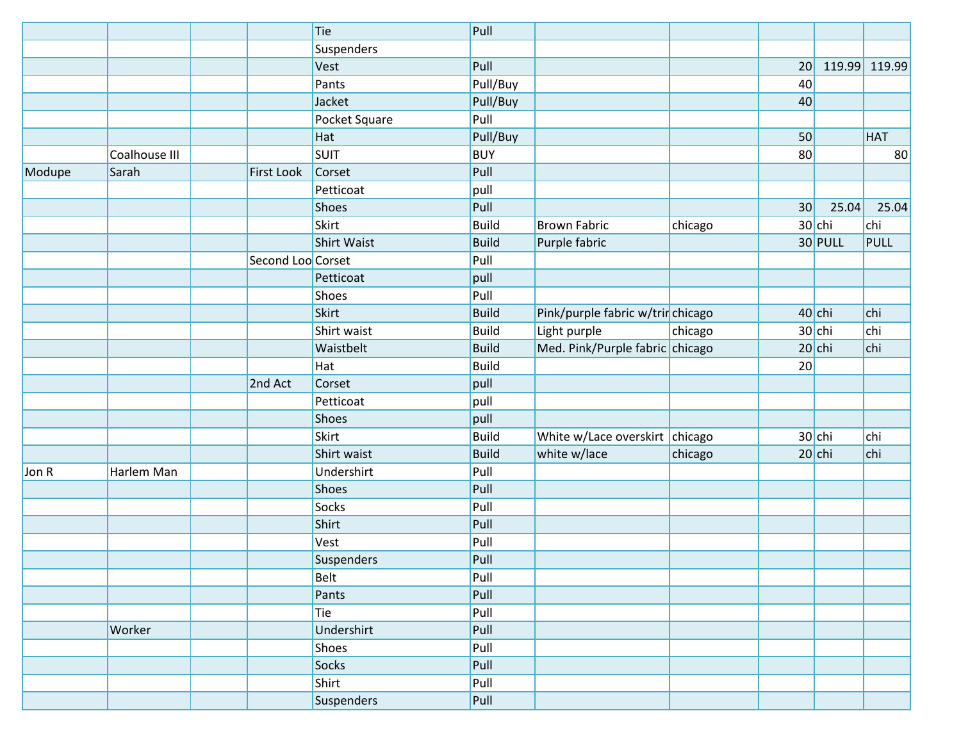|        |               |                   | Tie                | Pull         |                                   |         |    |           |               |
|--------|---------------|-------------------|--------------------|--------------|-----------------------------------|---------|----|-----------|---------------|
|        |               |                   | Suspenders         |              |                                   |         |    |           |               |
|        |               |                   | Vest               | Pull         |                                   |         | 20 |           | 119.99 119.99 |
|        |               |                   | Pants              | Pull/Buy     |                                   |         | 40 |           |               |
|        |               |                   | Jacket             | Pull/Buy     |                                   |         | 40 |           |               |
|        |               |                   | Pocket Square      | Pull         |                                   |         |    |           |               |
|        |               |                   | Hat                | Pull/Buy     |                                   |         | 50 |           | <b>HAT</b>    |
|        | Coalhouse III |                   | <b>SUIT</b>        | <b>BUY</b>   |                                   |         | 80 |           | 80            |
| Modupe | Sarah         | <b>First Look</b> | Corset             | Pull         |                                   |         |    |           |               |
|        |               |                   | Petticoat          | pull         |                                   |         |    |           |               |
|        |               |                   | Shoes              | Pull         |                                   |         | 30 | 25.04     | 25.04         |
|        |               |                   | Skirt              | <b>Build</b> | <b>Brown Fabric</b>               | chicago |    | $30$ chi  | chi           |
|        |               |                   | <b>Shirt Waist</b> | <b>Build</b> | Purple fabric                     |         |    | $30$ PULL | <b>PULL</b>   |
|        |               | Second Loo Corset |                    | Pull         |                                   |         |    |           |               |
|        |               |                   | Petticoat          | pull         |                                   |         |    |           |               |
|        |               |                   | Shoes              | Pull         |                                   |         |    |           |               |
|        |               |                   | <b>Skirt</b>       | <b>Build</b> | Pink/purple fabric w/trir chicago |         |    | $40$ chi  | chi           |
|        |               |                   | Shirt waist        | <b>Build</b> | Light purple                      | chicago |    | $30$ chi  | chi           |
|        |               |                   | Waistbelt          | <b>Build</b> | Med. Pink/Purple fabric chicago   |         |    | $20$ chi  | chi           |
|        |               |                   | Hat                | <b>Build</b> |                                   |         | 20 |           |               |
|        |               | 2nd Act           | Corset             | pull         |                                   |         |    |           |               |
|        |               |                   | Petticoat          | pull         |                                   |         |    |           |               |
|        |               |                   | Shoes              | pull         |                                   |         |    |           |               |
|        |               |                   | Skirt              | <b>Build</b> | White w/Lace overskirt chicago    |         |    | $30$ chi  | chi           |
|        |               |                   | Shirt waist        | <b>Build</b> | white w/lace                      | chicago |    | $20$ chi  | chi           |
| Jon R  | Harlem Man    |                   | Undershirt         | Pull         |                                   |         |    |           |               |
|        |               |                   | Shoes              | Pull         |                                   |         |    |           |               |
|        |               |                   | Socks              | Pull         |                                   |         |    |           |               |
|        |               |                   | Shirt              | Pull         |                                   |         |    |           |               |
|        |               |                   | Vest               | Pull         |                                   |         |    |           |               |
|        |               |                   | Suspenders         | Pull         |                                   |         |    |           |               |
|        |               |                   | Belt               | Pull         |                                   |         |    |           |               |
|        |               |                   | Pants              | Pull         |                                   |         |    |           |               |
|        |               |                   | Tie                | Pull         |                                   |         |    |           |               |
|        | Worker        |                   | Undershirt         | Pull         |                                   |         |    |           |               |
|        |               |                   | Shoes              | Pull         |                                   |         |    |           |               |
|        |               |                   | Socks              | Pull         |                                   |         |    |           |               |
|        |               |                   | Shirt              | Pull         |                                   |         |    |           |               |
|        |               |                   | Suspenders         | Pull         |                                   |         |    |           |               |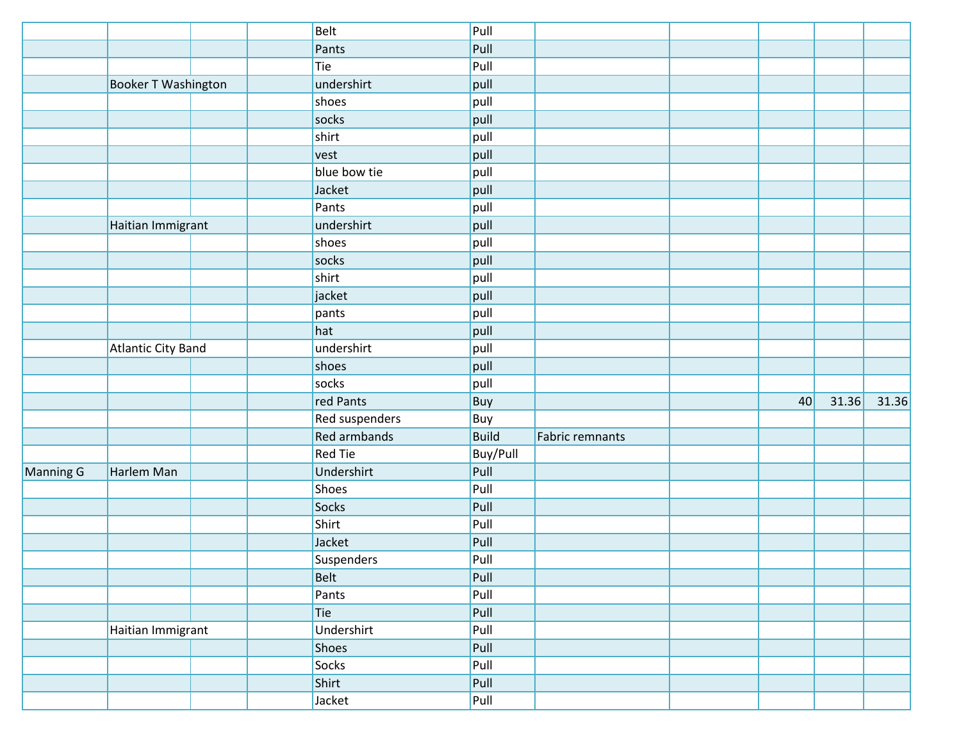|           |                            |  | <b>Belt</b>         | Pull         |                 |    |       |       |
|-----------|----------------------------|--|---------------------|--------------|-----------------|----|-------|-------|
|           |                            |  | Pants               | Pull         |                 |    |       |       |
|           |                            |  | Tie                 | Pull         |                 |    |       |       |
|           | <b>Booker T Washington</b> |  | undershirt          | pull         |                 |    |       |       |
|           |                            |  | shoes               | pull         |                 |    |       |       |
|           |                            |  | socks               | pull         |                 |    |       |       |
|           |                            |  | shirt               | pull         |                 |    |       |       |
|           |                            |  | vest                | pull         |                 |    |       |       |
|           |                            |  | blue bow tie        | pull         |                 |    |       |       |
|           |                            |  | Jacket              | pull         |                 |    |       |       |
|           |                            |  | Pants               | pull         |                 |    |       |       |
|           | Haitian Immigrant          |  | undershirt          | pull         |                 |    |       |       |
|           |                            |  | shoes               | pull         |                 |    |       |       |
|           |                            |  | socks               | pull         |                 |    |       |       |
|           |                            |  | shirt               | pull         |                 |    |       |       |
|           |                            |  | jacket              | pull         |                 |    |       |       |
|           |                            |  | pants               | pull         |                 |    |       |       |
|           |                            |  | hat                 | pull         |                 |    |       |       |
|           | <b>Atlantic City Band</b>  |  | undershirt          | pull         |                 |    |       |       |
|           |                            |  | shoes               | pull         |                 |    |       |       |
|           |                            |  | socks               | pull         |                 |    |       |       |
|           |                            |  | red Pants           | Buy          |                 | 40 | 31.36 | 31.36 |
|           |                            |  | Red suspenders      | Buy          |                 |    |       |       |
|           |                            |  | <b>Red armbands</b> | <b>Build</b> | Fabric remnants |    |       |       |
|           |                            |  | <b>Red Tie</b>      | Buy/Pull     |                 |    |       |       |
| Manning G | Harlem Man                 |  | Undershirt          | Pull         |                 |    |       |       |
|           |                            |  | Shoes               | Pull         |                 |    |       |       |
|           |                            |  | Socks               | Pull         |                 |    |       |       |
|           |                            |  | Shirt               | Pull         |                 |    |       |       |
|           |                            |  | Jacket              | Pull         |                 |    |       |       |
|           |                            |  | Suspenders          | Pull         |                 |    |       |       |
|           |                            |  | <b>Belt</b>         | Pull         |                 |    |       |       |
|           |                            |  | Pants               | Pull         |                 |    |       |       |
|           |                            |  | Tie                 | Pull         |                 |    |       |       |
|           | Haitian Immigrant          |  | Undershirt          | Pull         |                 |    |       |       |
|           |                            |  | Shoes               | Pull         |                 |    |       |       |
|           |                            |  | Socks               | Pull         |                 |    |       |       |
|           |                            |  | Shirt               | Pull         |                 |    |       |       |
|           |                            |  | Jacket              | Pull         |                 |    |       |       |
|           |                            |  |                     |              |                 |    |       |       |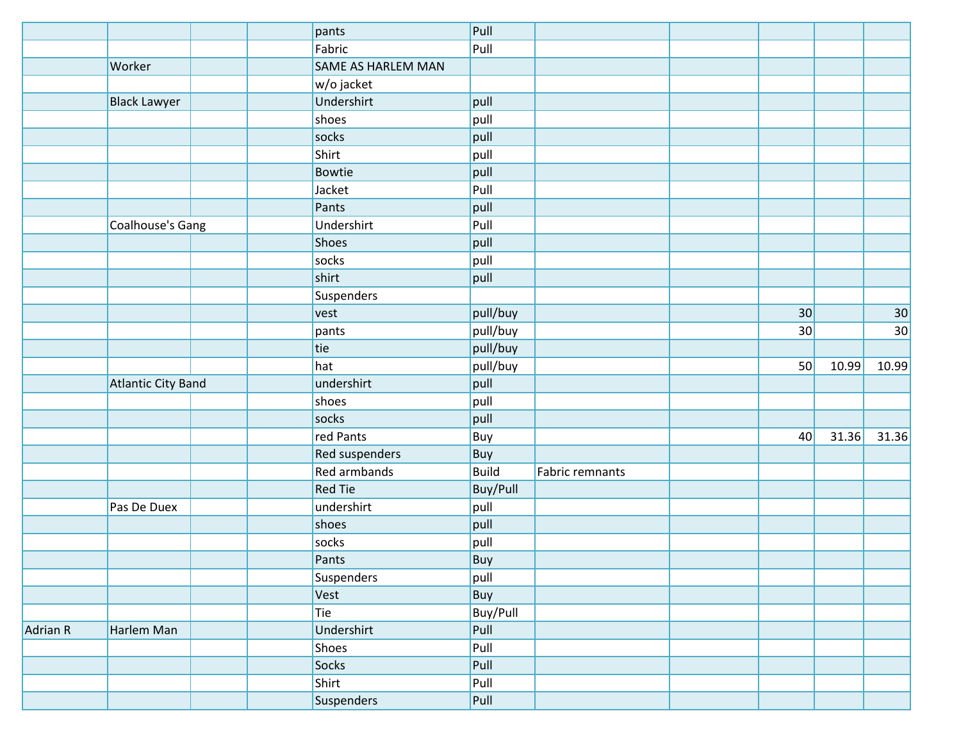|          |                     | pants              | Pull         |                 |    |       |                 |
|----------|---------------------|--------------------|--------------|-----------------|----|-------|-----------------|
|          |                     | Fabric             | Pull         |                 |    |       |                 |
|          | Worker              | SAME AS HARLEM MAN |              |                 |    |       |                 |
|          |                     | w/o jacket         |              |                 |    |       |                 |
|          | <b>Black Lawyer</b> | Undershirt         | pull         |                 |    |       |                 |
|          |                     | shoes              | pull         |                 |    |       |                 |
|          |                     | socks              | pull         |                 |    |       |                 |
|          |                     | Shirt              | pull         |                 |    |       |                 |
|          |                     | Bowtie             | pull         |                 |    |       |                 |
|          |                     | Jacket             | Pull         |                 |    |       |                 |
|          |                     | Pants              | pull         |                 |    |       |                 |
|          | Coalhouse's Gang    | Undershirt         | Pull         |                 |    |       |                 |
|          |                     | Shoes              | pull         |                 |    |       |                 |
|          |                     | socks              | pull         |                 |    |       |                 |
|          |                     | shirt              | pull         |                 |    |       |                 |
|          |                     | Suspenders         |              |                 |    |       |                 |
|          |                     | vest               | pull/buy     |                 | 30 |       | 30 <sup>°</sup> |
|          |                     | pants              | pull/buy     |                 | 30 |       | 30              |
|          |                     | tie                | pull/buy     |                 |    |       |                 |
|          |                     | hat                | pull/buy     |                 | 50 | 10.99 | 10.99           |
|          | Atlantic City Band  | undershirt         | pull         |                 |    |       |                 |
|          |                     | shoes              | pull         |                 |    |       |                 |
|          |                     | socks              | pull         |                 |    |       |                 |
|          |                     | red Pants          | Buy          |                 | 40 | 31.36 | 31.36           |
|          |                     | Red suspenders     | Buy          |                 |    |       |                 |
|          |                     | Red armbands       | <b>Build</b> | Fabric remnants |    |       |                 |
|          |                     | <b>Red Tie</b>     | Buy/Pull     |                 |    |       |                 |
|          | Pas De Duex         | undershirt         | pull         |                 |    |       |                 |
|          |                     | shoes              | pull         |                 |    |       |                 |
|          |                     | socks              | pull         |                 |    |       |                 |
|          |                     | Pants              | Buy          |                 |    |       |                 |
|          |                     | Suspenders         | pull         |                 |    |       |                 |
|          |                     | Vest               | Buy          |                 |    |       |                 |
|          |                     | Tie                | Buy/Pull     |                 |    |       |                 |
| Adrian R | Harlem Man          | Undershirt         | Pull         |                 |    |       |                 |
|          |                     | Shoes              | Pull         |                 |    |       |                 |
|          |                     | Socks              | Pull         |                 |    |       |                 |
|          |                     | Shirt              | Pull         |                 |    |       |                 |
|          |                     | Suspenders         | Pull         |                 |    |       |                 |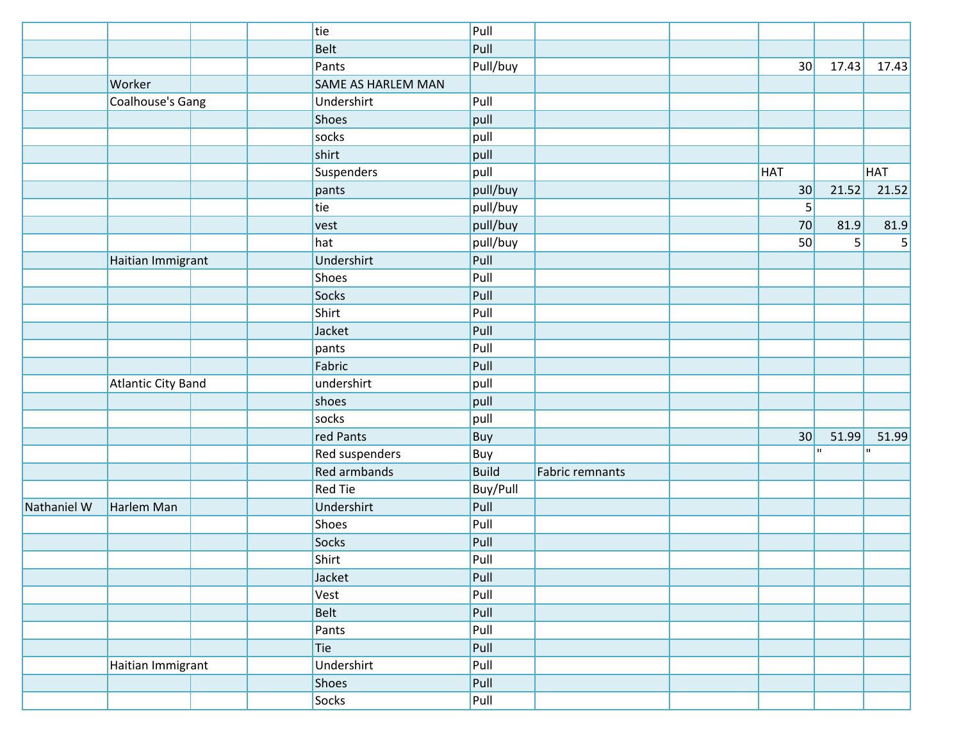|             |                           | tie                 | Pull         |                 |                 |                |             |
|-------------|---------------------------|---------------------|--------------|-----------------|-----------------|----------------|-------------|
|             |                           | <b>Belt</b>         | Pull         |                 |                 |                |             |
|             |                           | Pants               | Pull/buy     |                 | 30              | 17.43          | 17.43       |
|             | Worker                    | SAME AS HARLEM MAN  |              |                 |                 |                |             |
|             | Coalhouse's Gang          | Undershirt          | Pull         |                 |                 |                |             |
|             |                           | <b>Shoes</b>        | pull         |                 |                 |                |             |
|             |                           | socks               | pull         |                 |                 |                |             |
|             |                           | shirt               | pull         |                 |                 |                |             |
|             |                           | <b>Suspenders</b>   | pull         |                 | HAT             |                | <b>HAT</b>  |
|             |                           | pants               | pull/buy     |                 | 30              | 21.52          | 21.52       |
|             |                           | tie                 | pull/buy     |                 | 5 <sup>1</sup>  |                |             |
|             |                           | vest                | pull/buy     |                 | 70              | 81.9           | 81.9        |
|             |                           | hat                 | pull/buy     |                 | 50              | 5 <sup>1</sup> | $\mathsf S$ |
|             | Haitian Immigrant         | Undershirt          | Pull         |                 |                 |                |             |
|             |                           | Shoes               | Pull         |                 |                 |                |             |
|             |                           | Socks               | Pull         |                 |                 |                |             |
|             |                           | Shirt               | Pull         |                 |                 |                |             |
|             |                           | Jacket              | Pull         |                 |                 |                |             |
|             |                           | pants               | Pull         |                 |                 |                |             |
|             |                           | Fabric              | Pull         |                 |                 |                |             |
|             | <b>Atlantic City Band</b> | undershirt          | pull         |                 |                 |                |             |
|             |                           | shoes               | pull         |                 |                 |                |             |
|             |                           | socks               | pull         |                 |                 |                |             |
|             |                           | red Pants           | Buy          |                 | 30 <sup>°</sup> | 51.99          | 51.99       |
|             |                           | Red suspenders      | Buy          |                 |                 | hг.            | 'n.         |
|             |                           | <b>Red armbands</b> | <b>Build</b> | Fabric remnants |                 |                |             |
|             |                           | <b>Red Tie</b>      | Buy/Pull     |                 |                 |                |             |
| Nathaniel W | Harlem Man                | Undershirt          | Pull         |                 |                 |                |             |
|             |                           | Shoes               | Pull         |                 |                 |                |             |
|             |                           | Socks               | Pull         |                 |                 |                |             |
|             |                           | Shirt               | Pull         |                 |                 |                |             |
|             |                           | Jacket              | Pull         |                 |                 |                |             |
|             |                           | Vest                | Pull         |                 |                 |                |             |
|             |                           | <b>Belt</b>         | Pull         |                 |                 |                |             |
|             |                           | Pants               | Pull         |                 |                 |                |             |
|             |                           | Tie                 | Pull         |                 |                 |                |             |
|             | Haitian Immigrant         | Undershirt          | Pull         |                 |                 |                |             |
|             |                           | Shoes               | Pull         |                 |                 |                |             |
|             |                           | Socks               | Pull         |                 |                 |                |             |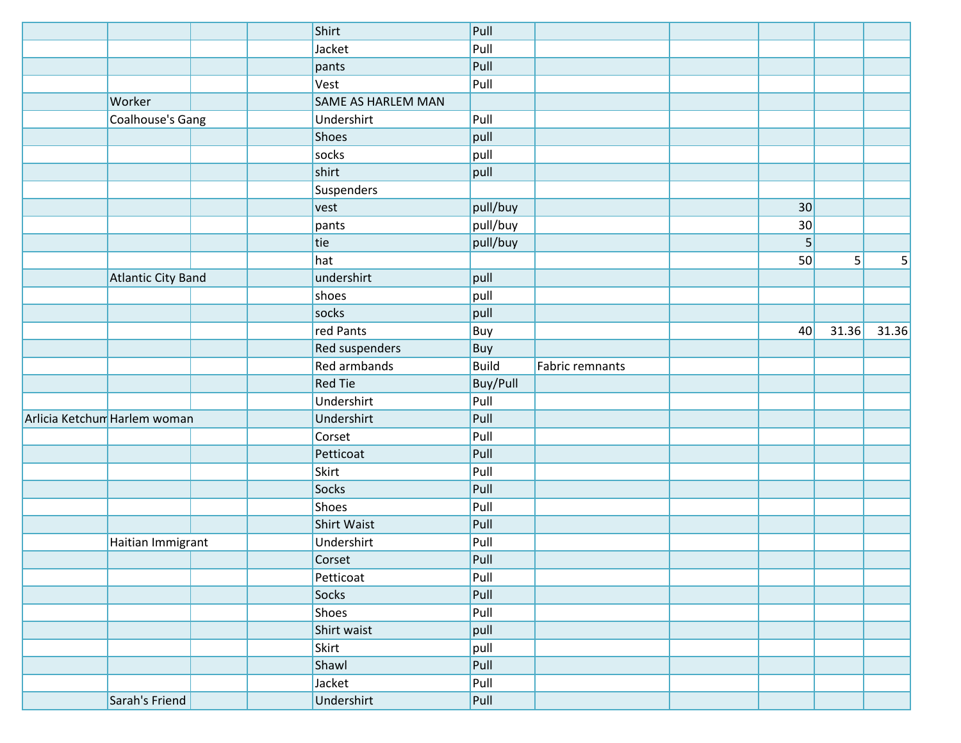|                              |                           | Shirt                     | Pull         |                 |    |       |       |
|------------------------------|---------------------------|---------------------------|--------------|-----------------|----|-------|-------|
|                              |                           | Jacket                    | Pull         |                 |    |       |       |
|                              |                           | pants                     | Pull         |                 |    |       |       |
|                              |                           | Vest                      | Pull         |                 |    |       |       |
|                              | Worker                    | <b>SAME AS HARLEM MAN</b> |              |                 |    |       |       |
|                              | Coalhouse's Gang          | Undershirt                | Pull         |                 |    |       |       |
|                              |                           | Shoes                     | pull         |                 |    |       |       |
|                              |                           | socks                     | pull         |                 |    |       |       |
|                              |                           | shirt                     | pull         |                 |    |       |       |
|                              |                           | Suspenders                |              |                 |    |       |       |
|                              |                           | vest                      | pull/buy     |                 | 30 |       |       |
|                              |                           | pants                     | pull/buy     |                 | 30 |       |       |
|                              |                           | tie                       | pull/buy     |                 | 5  |       |       |
|                              |                           | hat                       |              |                 | 50 | 5     | 5     |
|                              | <b>Atlantic City Band</b> | undershirt                | pull         |                 |    |       |       |
|                              |                           | shoes                     | pull         |                 |    |       |       |
|                              |                           | socks                     | pull         |                 |    |       |       |
|                              |                           | red Pants                 | Buy          |                 | 40 | 31.36 | 31.36 |
|                              |                           | Red suspenders            | Buy          |                 |    |       |       |
|                              |                           | <b>Red armbands</b>       | <b>Build</b> | Fabric remnants |    |       |       |
|                              |                           | <b>Red Tie</b>            | Buy/Pull     |                 |    |       |       |
|                              |                           | Undershirt                | Pull         |                 |    |       |       |
| Arlicia Ketchun Harlem woman |                           | Undershirt                | Pull         |                 |    |       |       |
|                              |                           | Corset                    | Pull         |                 |    |       |       |
|                              |                           | Petticoat                 | Pull         |                 |    |       |       |
|                              |                           | Skirt                     | Pull         |                 |    |       |       |
|                              |                           | Socks                     | Pull         |                 |    |       |       |
|                              |                           | Shoes                     | Pull         |                 |    |       |       |
|                              |                           | <b>Shirt Waist</b>        | Pull         |                 |    |       |       |
|                              | Haitian Immigrant         | Undershirt                | Pull         |                 |    |       |       |
|                              |                           | Corset                    | Pull         |                 |    |       |       |
|                              |                           | Petticoat                 | Pull         |                 |    |       |       |
|                              |                           | Socks                     | Pull         |                 |    |       |       |
|                              |                           | Shoes                     | Pull         |                 |    |       |       |
|                              |                           | Shirt waist               | pull         |                 |    |       |       |
|                              |                           | Skirt                     | pull         |                 |    |       |       |
|                              |                           | Shawl                     | Pull         |                 |    |       |       |
|                              |                           | Jacket                    | Pull         |                 |    |       |       |
|                              | Sarah's Friend            | Undershirt                | Pull         |                 |    |       |       |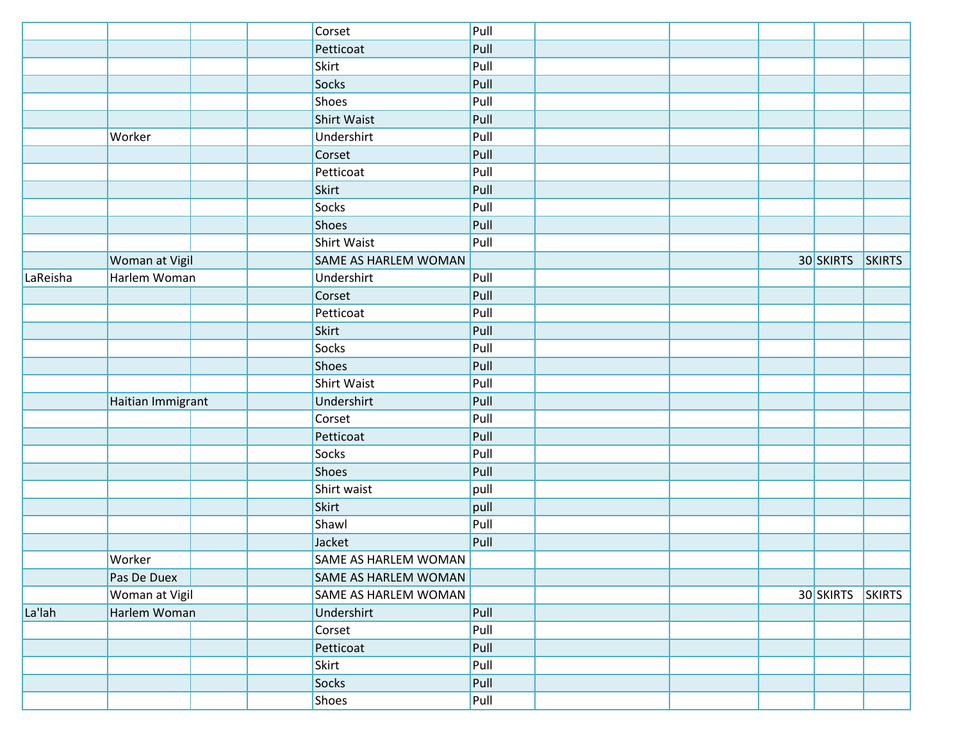|          |                   | Corset               | Pull |  |           |               |
|----------|-------------------|----------------------|------|--|-----------|---------------|
|          |                   | Petticoat            | Pull |  |           |               |
|          |                   | Skirt                | Pull |  |           |               |
|          |                   | Socks                | Pull |  |           |               |
|          |                   | Shoes                | Pull |  |           |               |
|          |                   | <b>Shirt Waist</b>   | Pull |  |           |               |
|          | Worker            | Undershirt           | Pull |  |           |               |
|          |                   | Corset               | Pull |  |           |               |
|          |                   | Petticoat            | Pull |  |           |               |
|          |                   | <b>Skirt</b>         | Pull |  |           |               |
|          |                   | Socks                | Pull |  |           |               |
|          |                   | Shoes                | Pull |  |           |               |
|          |                   | <b>Shirt Waist</b>   | Pull |  |           |               |
|          | Woman at Vigil    | SAME AS HARLEM WOMAN |      |  | 30 SKIRTS | <b>SKIRTS</b> |
| LaReisha | Harlem Woman      | Undershirt           | Pull |  |           |               |
|          |                   | Corset               | Pull |  |           |               |
|          |                   | Petticoat            | Pull |  |           |               |
|          |                   | <b>Skirt</b>         | Pull |  |           |               |
|          |                   | Socks                | Pull |  |           |               |
|          |                   | <b>Shoes</b>         | Pull |  |           |               |
|          |                   | <b>Shirt Waist</b>   | Pull |  |           |               |
|          | Haitian Immigrant | Undershirt           | Pull |  |           |               |
|          |                   | Corset               | Pull |  |           |               |
|          |                   | Petticoat            | Pull |  |           |               |
|          |                   | Socks                | Pull |  |           |               |
|          |                   | Shoes                | Pull |  |           |               |
|          |                   | Shirt waist          | pull |  |           |               |
|          |                   | Skirt                | pull |  |           |               |
|          |                   | Shawl                | Pull |  |           |               |
|          |                   | Jacket               | Pull |  |           |               |
|          | Worker            | SAME AS HARLEM WOMAN |      |  |           |               |
|          | Pas De Duex       | SAME AS HARLEM WOMAN |      |  |           |               |
|          | Woman at Vigil    | SAME AS HARLEM WOMAN |      |  | 30 SKIRTS | <b>SKIRTS</b> |
| La'lah   | Harlem Woman      | Undershirt           | Pull |  |           |               |
|          |                   | Corset               | Pull |  |           |               |
|          |                   | Petticoat            | Pull |  |           |               |
|          |                   | Skirt                | Pull |  |           |               |
|          |                   | Socks                | Pull |  |           |               |
|          |                   | Shoes                | Pull |  |           |               |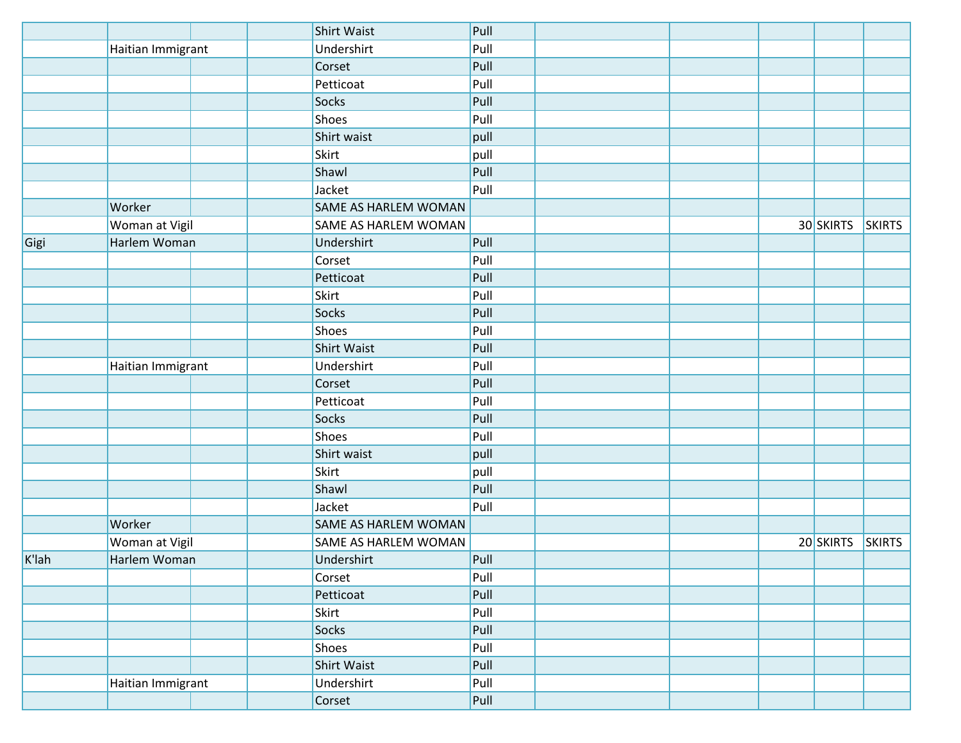|          |                   | <b>Shirt Waist</b>   | Pull |  |           |               |
|----------|-------------------|----------------------|------|--|-----------|---------------|
|          | Haitian Immigrant | Undershirt           | Pull |  |           |               |
|          |                   | Corset               | Pull |  |           |               |
|          |                   | Petticoat            | Pull |  |           |               |
|          |                   | Socks                | Pull |  |           |               |
|          |                   | Shoes                | Pull |  |           |               |
|          |                   | Shirt waist          | pull |  |           |               |
|          |                   | Skirt                | pull |  |           |               |
|          |                   | Shawl                | Pull |  |           |               |
|          |                   | Jacket               | Pull |  |           |               |
|          | Worker            | SAME AS HARLEM WOMAN |      |  |           |               |
|          | Woman at Vigil    | SAME AS HARLEM WOMAN |      |  | 30 SKIRTS | <b>SKIRTS</b> |
| Gigi     | Harlem Woman      | Undershirt           | Pull |  |           |               |
|          |                   | Corset               | Pull |  |           |               |
|          |                   | Petticoat            | Pull |  |           |               |
|          |                   | Skirt                | Pull |  |           |               |
|          |                   | Socks                | Pull |  |           |               |
|          |                   | Shoes                | Pull |  |           |               |
|          |                   | <b>Shirt Waist</b>   | Pull |  |           |               |
|          | Haitian Immigrant | Undershirt           | Pull |  |           |               |
|          |                   | Corset               | Pull |  |           |               |
|          |                   | Petticoat            | Pull |  |           |               |
|          |                   | Socks                | Pull |  |           |               |
|          |                   | Shoes                | Pull |  |           |               |
|          |                   | Shirt waist          | pull |  |           |               |
|          |                   | Skirt                | pull |  |           |               |
|          |                   | Shawl                | Pull |  |           |               |
|          |                   | Jacket               | Pull |  |           |               |
|          | Worker            | SAME AS HARLEM WOMAN |      |  |           |               |
|          | Woman at Vigil    | SAME AS HARLEM WOMAN |      |  | 20 SKIRTS | <b>SKIRTS</b> |
| $K$ 'lah | Harlem Woman      | Undershirt           | Pull |  |           |               |
|          |                   | Corset               | Pull |  |           |               |
|          |                   | Petticoat            | Pull |  |           |               |
|          |                   | Skirt                | Pull |  |           |               |
|          |                   | Socks                | Pull |  |           |               |
|          |                   | Shoes                | Pull |  |           |               |
|          |                   | <b>Shirt Waist</b>   | Pull |  |           |               |
|          | Haitian Immigrant | Undershirt           | Pull |  |           |               |
|          |                   | Corset               | Pull |  |           |               |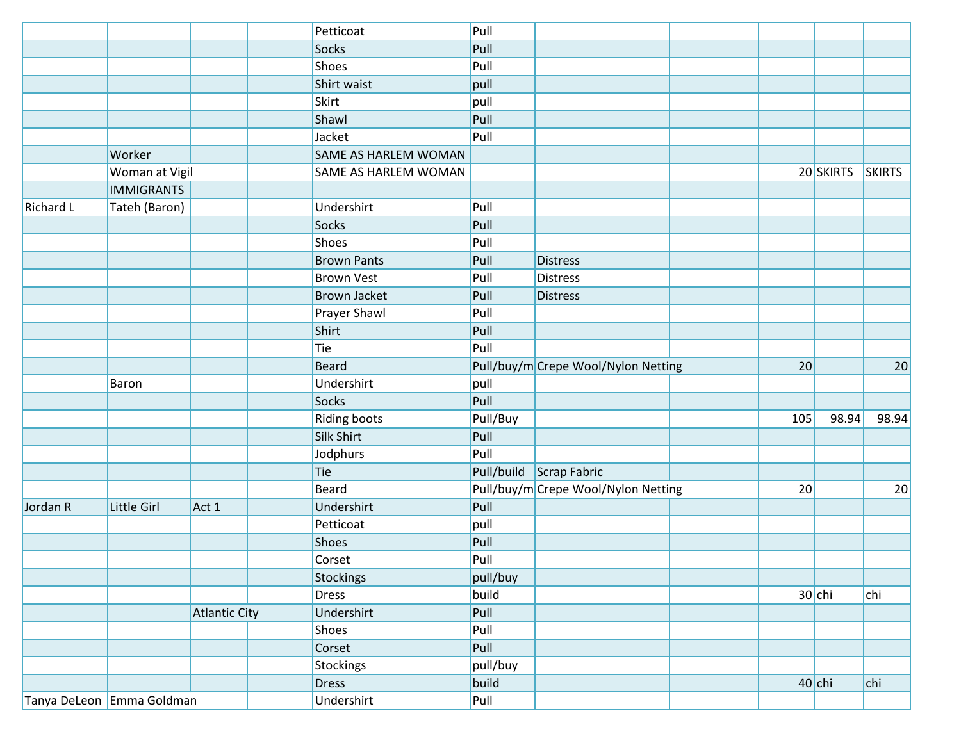|                           |                   |                      | Petticoat            | Pull     |                                     |     |           |               |
|---------------------------|-------------------|----------------------|----------------------|----------|-------------------------------------|-----|-----------|---------------|
|                           |                   |                      | Socks                | Pull     |                                     |     |           |               |
|                           |                   |                      | Shoes                | Pull     |                                     |     |           |               |
|                           |                   |                      | Shirt waist          | pull     |                                     |     |           |               |
|                           |                   |                      | <b>Skirt</b>         | pull     |                                     |     |           |               |
|                           |                   |                      | Shawl                | Pull     |                                     |     |           |               |
|                           |                   |                      | Jacket               | Pull     |                                     |     |           |               |
|                           | Worker            |                      | SAME AS HARLEM WOMAN |          |                                     |     |           |               |
|                           | Woman at Vigil    |                      | SAME AS HARLEM WOMAN |          |                                     |     | 20 SKIRTS | <b>SKIRTS</b> |
|                           | <b>IMMIGRANTS</b> |                      |                      |          |                                     |     |           |               |
| <b>Richard L</b>          | Tateh (Baron)     |                      | Undershirt           | Pull     |                                     |     |           |               |
|                           |                   |                      | Socks                | Pull     |                                     |     |           |               |
|                           |                   |                      | Shoes                | Pull     |                                     |     |           |               |
|                           |                   |                      | <b>Brown Pants</b>   | Pull     | <b>Distress</b>                     |     |           |               |
|                           |                   |                      | <b>Brown Vest</b>    | Pull     | <b>Distress</b>                     |     |           |               |
|                           |                   |                      | <b>Brown Jacket</b>  | Pull     | <b>Distress</b>                     |     |           |               |
|                           |                   |                      | Prayer Shawl         | Pull     |                                     |     |           |               |
|                           |                   |                      | Shirt                | Pull     |                                     |     |           |               |
|                           |                   |                      | Tie                  | Pull     |                                     |     |           |               |
|                           |                   |                      | <b>Beard</b>         |          | Pull/buy/m Crepe Wool/Nylon Netting | 20  |           | 20            |
|                           | <b>Baron</b>      |                      | Undershirt           | pull     |                                     |     |           |               |
|                           |                   |                      | Socks                | Pull     |                                     |     |           |               |
|                           |                   |                      | Riding boots         | Pull/Buy |                                     | 105 | 98.94     | 98.94         |
|                           |                   |                      | Silk Shirt           | Pull     |                                     |     |           |               |
|                           |                   |                      | Jodphurs             | Pull     |                                     |     |           |               |
|                           |                   |                      | Tie                  |          | Pull/build Scrap Fabric             |     |           |               |
|                           |                   |                      | <b>Beard</b>         |          | Pull/buy/m Crepe Wool/Nylon Netting | 20  |           | 20            |
| Jordan R                  | Little Girl       | Act 1                | Undershirt           | Pull     |                                     |     |           |               |
|                           |                   |                      | Petticoat            | pull     |                                     |     |           |               |
|                           |                   |                      | Shoes                | Pull     |                                     |     |           |               |
|                           |                   |                      | Corset               | Pull     |                                     |     |           |               |
|                           |                   |                      | Stockings            | pull/buy |                                     |     |           |               |
|                           |                   |                      | <b>Dress</b>         | build    |                                     |     | $30$ chi  | chi           |
|                           |                   | <b>Atlantic City</b> | Undershirt           | Pull     |                                     |     |           |               |
|                           |                   |                      | Shoes                | Pull     |                                     |     |           |               |
|                           |                   |                      | Corset               | Pull     |                                     |     |           |               |
|                           |                   |                      | Stockings            | pull/buy |                                     |     |           |               |
|                           |                   |                      | <b>Dress</b>         | build    |                                     |     | $40$ chi  | chi           |
| Tanya DeLeon Emma Goldman |                   |                      | Undershirt           | Pull     |                                     |     |           |               |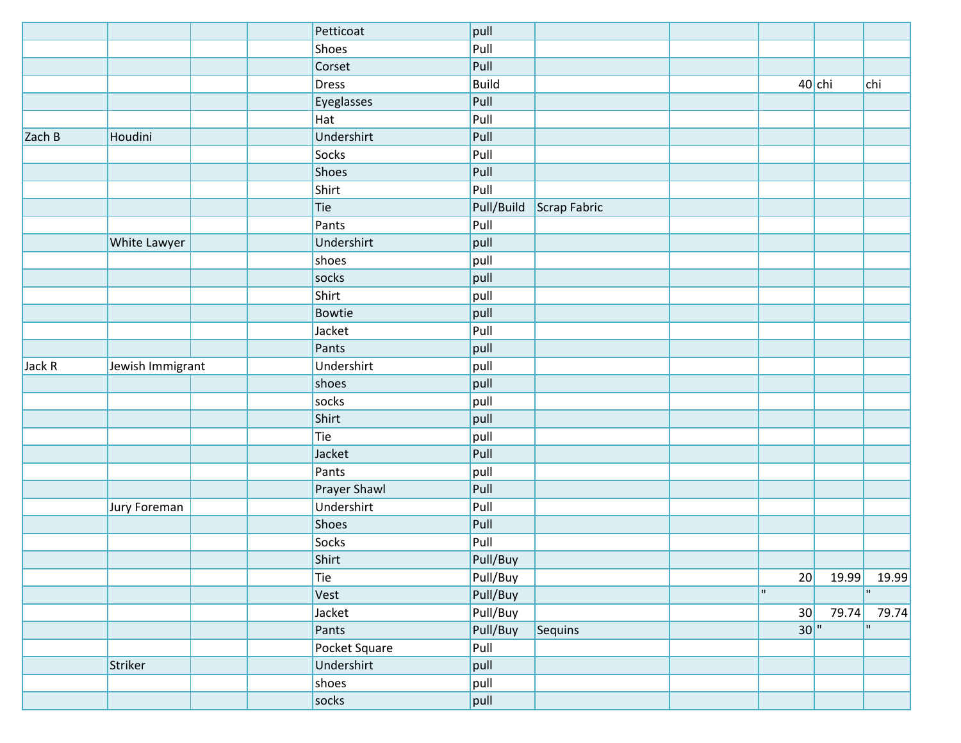|        |                  | Petticoat     | pull         |              |     |          |              |
|--------|------------------|---------------|--------------|--------------|-----|----------|--------------|
|        |                  | <b>Shoes</b>  | Pull         |              |     |          |              |
|        |                  | Corset        | Pull         |              |     |          |              |
|        |                  | <b>Dress</b>  | <b>Build</b> |              |     | $40$ chi | chi          |
|        |                  | Eyeglasses    | Pull         |              |     |          |              |
|        |                  | Hat           | Pull         |              |     |          |              |
| Zach B | Houdini          | Undershirt    | Pull         |              |     |          |              |
|        |                  | <b>Socks</b>  | Pull         |              |     |          |              |
|        |                  | Shoes         | Pull         |              |     |          |              |
|        |                  | Shirt         | Pull         |              |     |          |              |
|        |                  | Tie           | Pull/Build   | Scrap Fabric |     |          |              |
|        |                  | Pants         | Pull         |              |     |          |              |
|        | White Lawyer     | Undershirt    | pull         |              |     |          |              |
|        |                  | shoes         | pull         |              |     |          |              |
|        |                  | socks         | pull         |              |     |          |              |
|        |                  | Shirt         | pull         |              |     |          |              |
|        |                  | Bowtie        | pull         |              |     |          |              |
|        |                  | Jacket        | Pull         |              |     |          |              |
|        |                  | Pants         | pull         |              |     |          |              |
| Jack R | Jewish Immigrant | Undershirt    | pull         |              |     |          |              |
|        |                  | shoes         | pull         |              |     |          |              |
|        |                  | socks         | pull         |              |     |          |              |
|        |                  | Shirt         | pull         |              |     |          |              |
|        |                  | Tie           | pull         |              |     |          |              |
|        |                  | Jacket        | Pull         |              |     |          |              |
|        |                  | Pants         | pull         |              |     |          |              |
|        |                  | Prayer Shawl  | Pull         |              |     |          |              |
|        | Jury Foreman     | Undershirt    | Pull         |              |     |          |              |
|        |                  | Shoes         | Pull         |              |     |          |              |
|        |                  | Socks         | Pull         |              |     |          |              |
|        |                  | Shirt         | Pull/Buy     |              |     |          |              |
|        |                  | Tie           | Pull/Buy     |              | 20  | 19.99    | 19.99        |
|        |                  | Vest          | Pull/Buy     |              | m.  |          | $\mathbf{H}$ |
|        |                  | Jacket        | Pull/Buy     |              | 30  | 79.74    | 79.74        |
|        |                  | Pants         | Pull/Buy     | Sequins      | 30" |          | $\mathbf{H}$ |
|        |                  | Pocket Square | Pull         |              |     |          |              |
|        | Striker          | Undershirt    | pull         |              |     |          |              |
|        |                  | shoes         | pull         |              |     |          |              |
|        |                  | socks         | pull         |              |     |          |              |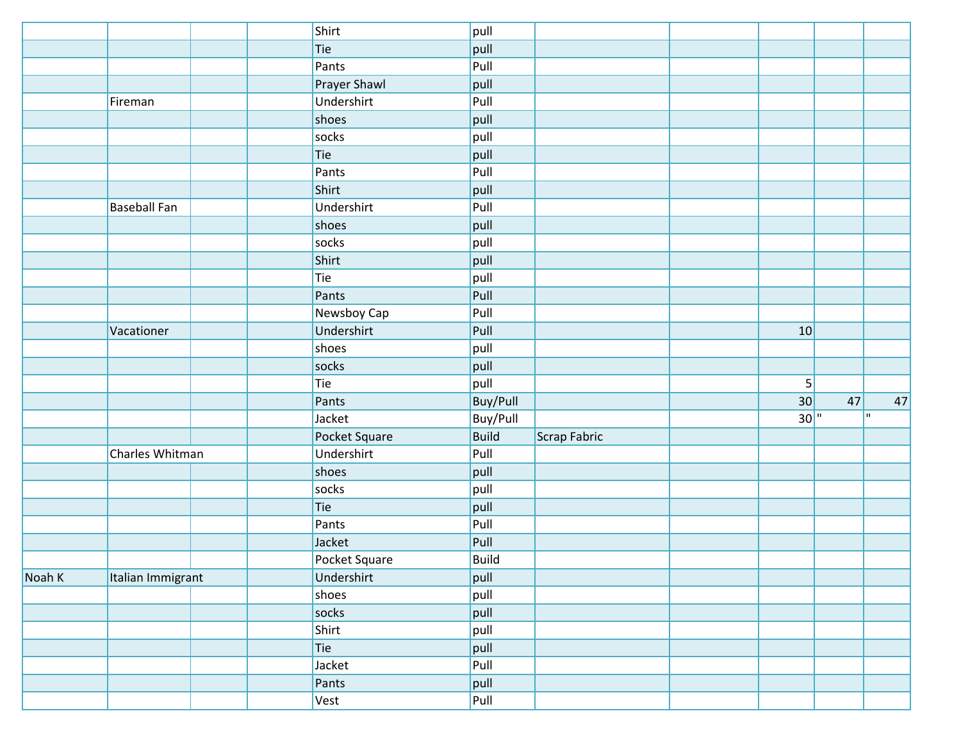|        |                     | Shirt         | pull            |              |                |    |     |
|--------|---------------------|---------------|-----------------|--------------|----------------|----|-----|
|        |                     | Tie           | pull            |              |                |    |     |
|        |                     | Pants         | Pull            |              |                |    |     |
|        |                     | Prayer Shawl  | pull            |              |                |    |     |
|        | Fireman             | Undershirt    | Pull            |              |                |    |     |
|        |                     | shoes         | pull            |              |                |    |     |
|        |                     | socks         | pull            |              |                |    |     |
|        |                     | Tie           | pull            |              |                |    |     |
|        |                     | Pants         | Pull            |              |                |    |     |
|        |                     | Shirt         | pull            |              |                |    |     |
|        | <b>Baseball Fan</b> | Undershirt    | Pull            |              |                |    |     |
|        |                     | shoes         | pull            |              |                |    |     |
|        |                     | socks         | pull            |              |                |    |     |
|        |                     | Shirt         | pull            |              |                |    |     |
|        |                     | Tie           | pull            |              |                |    |     |
|        |                     | Pants         | Pull            |              |                |    |     |
|        |                     | Newsboy Cap   | Pull            |              |                |    |     |
|        | Vacationer          | Undershirt    | Pull            |              | 10             |    |     |
|        |                     | shoes         | pull            |              |                |    |     |
|        |                     | socks         | pull            |              |                |    |     |
|        |                     | Tie           | pull            |              | 5 <sup>2</sup> |    |     |
|        |                     | Pants         | <b>Buy/Pull</b> |              | 30             | 47 | 47  |
|        |                     | Jacket        | <b>Buy/Pull</b> |              | 30"            |    | hг. |
|        |                     | Pocket Square | <b>Build</b>    | Scrap Fabric |                |    |     |
|        | Charles Whitman     | Undershirt    | Pull            |              |                |    |     |
|        |                     | shoes         | pull            |              |                |    |     |
|        |                     | socks         | pull            |              |                |    |     |
|        |                     | Tie           | pull            |              |                |    |     |
|        |                     | Pants         | Pull            |              |                |    |     |
|        |                     | Jacket        | Pull            |              |                |    |     |
|        |                     | Pocket Square | Build           |              |                |    |     |
| Noah K | Italian Immigrant   | Undershirt    | pull            |              |                |    |     |
|        |                     | shoes         | pull            |              |                |    |     |
|        |                     | socks         | pull            |              |                |    |     |
|        |                     | Shirt         | pull            |              |                |    |     |
|        |                     | Tie           | pull            |              |                |    |     |
|        |                     | Jacket        | Pull            |              |                |    |     |
|        |                     | Pants         | pull            |              |                |    |     |
|        |                     | Vest          | Pull            |              |                |    |     |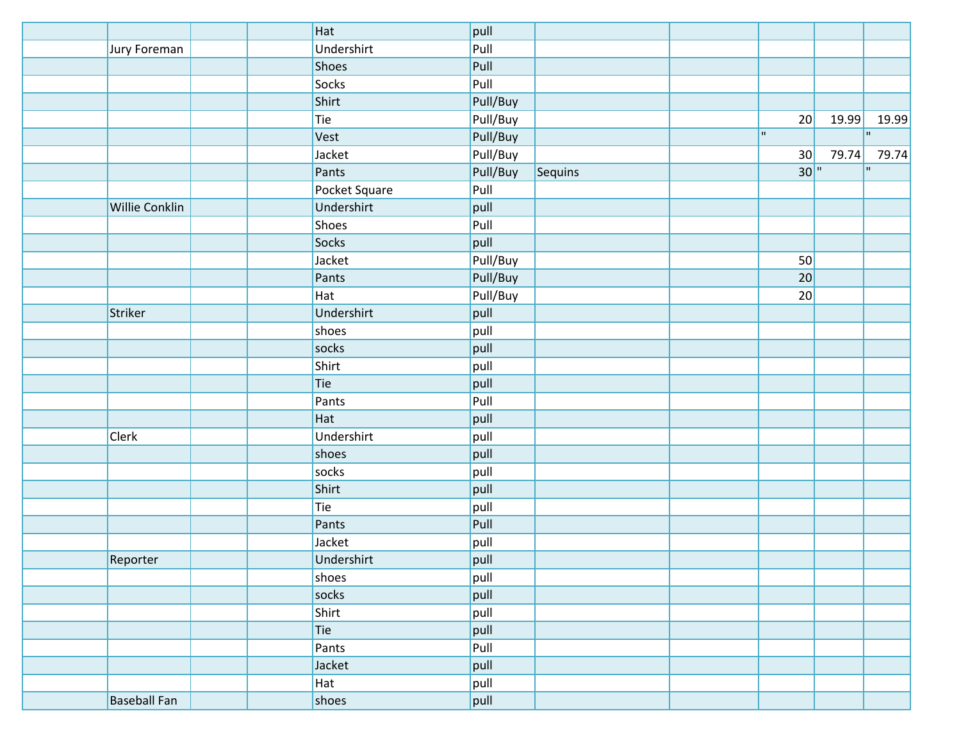|                       | Hat           | pull     |         |     |       |              |
|-----------------------|---------------|----------|---------|-----|-------|--------------|
| Jury Foreman          | Undershirt    | Pull     |         |     |       |              |
|                       | Shoes         | Pull     |         |     |       |              |
|                       | Socks         | Pull     |         |     |       |              |
|                       | Shirt         | Pull/Buy |         |     |       |              |
|                       | Tie           | Pull/Buy |         | 20  | 19.99 | 19.99        |
|                       | Vest          | Pull/Buy |         | m.  |       | $\mathbf{H}$ |
|                       | Jacket        | Pull/Buy |         | 30  | 79.74 | 79.74        |
|                       | Pants         | Pull/Buy | Sequins | 30" |       | $\mathbf{H}$ |
|                       | Pocket Square | Pull     |         |     |       |              |
| <b>Willie Conklin</b> | Undershirt    | pull     |         |     |       |              |
|                       | Shoes         | Pull     |         |     |       |              |
|                       | Socks         | pull     |         |     |       |              |
|                       | Jacket        | Pull/Buy |         | 50  |       |              |
|                       | Pants         | Pull/Buy |         | 20  |       |              |
|                       | Hat           | Pull/Buy |         | 20  |       |              |
| Striker               | Undershirt    | pull     |         |     |       |              |
|                       | shoes         | pull     |         |     |       |              |
|                       | socks         | pull     |         |     |       |              |
|                       | Shirt         | pull     |         |     |       |              |
|                       | Tie           | pull     |         |     |       |              |
|                       | Pants         | Pull     |         |     |       |              |
|                       | Hat           | pull     |         |     |       |              |
| <b>Clerk</b>          | Undershirt    | pull     |         |     |       |              |
|                       | shoes         | pull     |         |     |       |              |
|                       | socks         | pull     |         |     |       |              |
|                       | Shirt         | pull     |         |     |       |              |
|                       | Tie           | pull     |         |     |       |              |
|                       | Pants         | Pull     |         |     |       |              |
|                       | Jacket        | pull     |         |     |       |              |
| Reporter              | Undershirt    | pull     |         |     |       |              |
|                       | shoes         | pull     |         |     |       |              |
|                       | socks         | pull     |         |     |       |              |
|                       | Shirt         | pull     |         |     |       |              |
|                       | Tie           | pull     |         |     |       |              |
|                       | Pants         | Pull     |         |     |       |              |
|                       | Jacket        | pull     |         |     |       |              |
|                       | Hat           | pull     |         |     |       |              |
| <b>Baseball Fan</b>   | shoes         | pull     |         |     |       |              |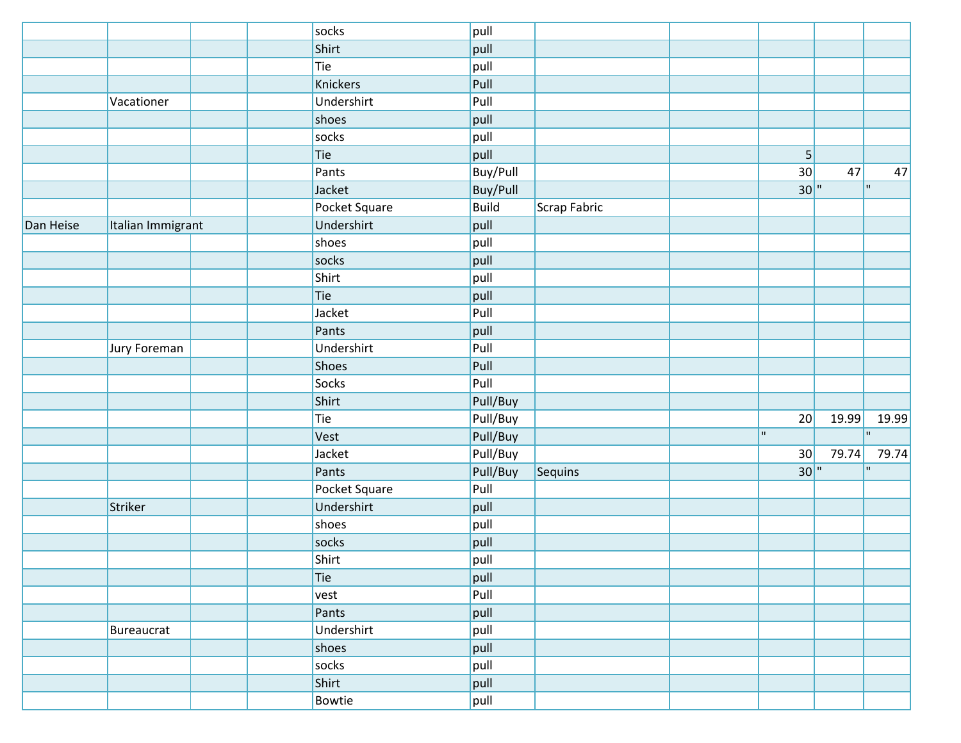|           |                   | socks         | pull         |              |                         |       |       |
|-----------|-------------------|---------------|--------------|--------------|-------------------------|-------|-------|
|           |                   | Shirt         | pull         |              |                         |       |       |
|           |                   | Tie           | pull         |              |                         |       |       |
|           |                   | Knickers      | Pull         |              |                         |       |       |
|           | Vacationer        | Undershirt    | Pull         |              |                         |       |       |
|           |                   | shoes         | pull         |              |                         |       |       |
|           |                   | socks         | pull         |              |                         |       |       |
|           |                   | Tie           | pull         |              | 5 <sup>1</sup>          |       |       |
|           |                   | Pants         | Buy/Pull     |              | 30                      | 47    | 47    |
|           |                   | Jacket        | Buy/Pull     |              | 30"                     |       | 'n.   |
|           |                   | Pocket Square | <b>Build</b> | Scrap Fabric |                         |       |       |
| Dan Heise | Italian Immigrant | Undershirt    | pull         |              |                         |       |       |
|           |                   | shoes         | pull         |              |                         |       |       |
|           |                   | socks         | pull         |              |                         |       |       |
|           |                   | Shirt         | pull         |              |                         |       |       |
|           |                   | Tie           | pull         |              |                         |       |       |
|           |                   | Jacket        | Pull         |              |                         |       |       |
|           |                   | Pants         | pull         |              |                         |       |       |
|           | Jury Foreman      | Undershirt    | Pull         |              |                         |       |       |
|           |                   | Shoes         | Pull         |              |                         |       |       |
|           |                   | Socks         | Pull         |              |                         |       |       |
|           |                   | Shirt         | Pull/Buy     |              |                         |       |       |
|           |                   | Tie           | Pull/Buy     |              | 20                      | 19.99 | 19.99 |
|           |                   | Vest          | Pull/Buy     |              | $\overline{\mathbf{u}}$ |       | 'n.   |
|           |                   | Jacket        | Pull/Buy     |              | 30                      | 79.74 | 79.74 |
|           |                   | Pants         | Pull/Buy     | Sequins      | $30$ <sup>"</sup>       |       | H.    |
|           |                   | Pocket Square | Pull         |              |                         |       |       |
|           | Striker           | Undershirt    | pull         |              |                         |       |       |
|           |                   | shoes         | pull         |              |                         |       |       |
|           |                   | socks         | pull         |              |                         |       |       |
|           |                   | Shirt         | pull         |              |                         |       |       |
|           |                   | Tie           | pull         |              |                         |       |       |
|           |                   | vest          | Pull         |              |                         |       |       |
|           |                   | Pants         | pull         |              |                         |       |       |
|           | Bureaucrat        | Undershirt    | pull         |              |                         |       |       |
|           |                   | shoes         | pull         |              |                         |       |       |
|           |                   | socks         | pull         |              |                         |       |       |
|           |                   | Shirt         | pull         |              |                         |       |       |
|           |                   | Bowtie        | pull         |              |                         |       |       |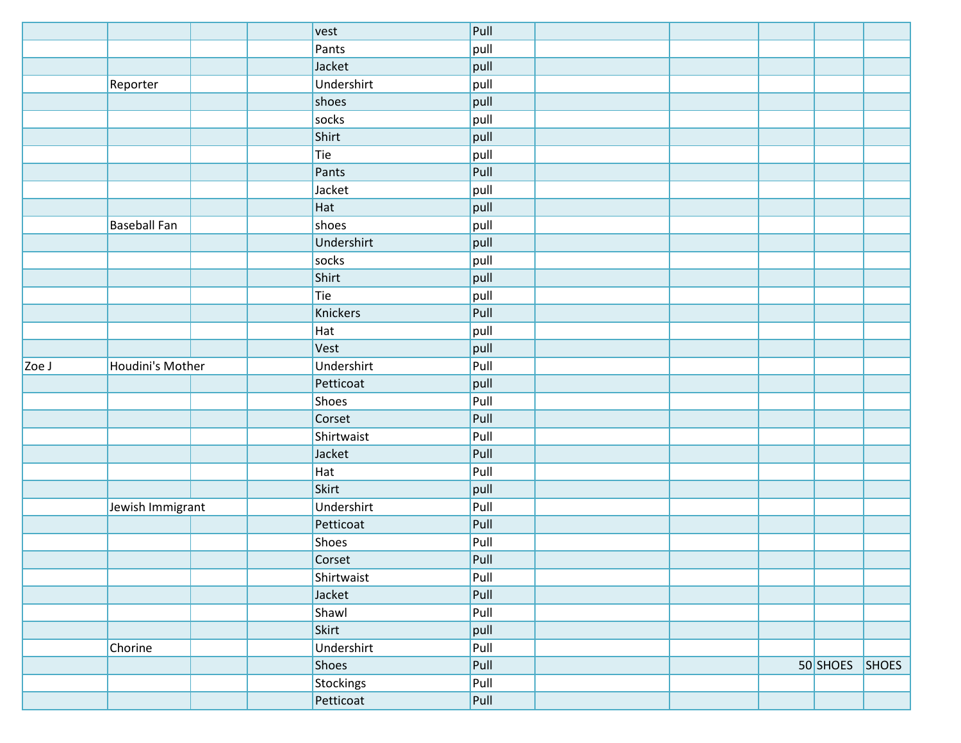|       |                     | vest             | Pull |  |            |              |
|-------|---------------------|------------------|------|--|------------|--------------|
|       |                     | Pants            | pull |  |            |              |
|       |                     | Jacket           | pull |  |            |              |
|       | Reporter            | Undershirt       | pull |  |            |              |
|       |                     | shoes            | pull |  |            |              |
|       |                     | socks            | pull |  |            |              |
|       |                     | Shirt            | pull |  |            |              |
|       |                     | Tie              | pull |  |            |              |
|       |                     | Pants            | Pull |  |            |              |
|       |                     | Jacket           | pull |  |            |              |
|       |                     | Hat              | pull |  |            |              |
|       | <b>Baseball Fan</b> | shoes            | pull |  |            |              |
|       |                     | Undershirt       | pull |  |            |              |
|       |                     | socks            | pull |  |            |              |
|       |                     | Shirt            | pull |  |            |              |
|       |                     | Tie              | pull |  |            |              |
|       |                     | Knickers         | Pull |  |            |              |
|       |                     | Hat              | pull |  |            |              |
|       |                     | Vest             | pull |  |            |              |
| Zoe J | Houdini's Mother    | Undershirt       | Pull |  |            |              |
|       |                     | Petticoat        | pull |  |            |              |
|       |                     | Shoes            | Pull |  |            |              |
|       |                     | Corset           | Pull |  |            |              |
|       |                     | Shirtwaist       | Pull |  |            |              |
|       |                     | Jacket           | Pull |  |            |              |
|       |                     | Hat              | Pull |  |            |              |
|       |                     | Skirt            | pull |  |            |              |
|       | Jewish Immigrant    | Undershirt       | Pull |  |            |              |
|       |                     | Petticoat        | Pull |  |            |              |
|       |                     | Shoes            | Pull |  |            |              |
|       |                     | Corset           | Pull |  |            |              |
|       |                     | Shirtwaist       | Pull |  |            |              |
|       |                     | Jacket           | Pull |  |            |              |
|       |                     | Shawl            | Pull |  |            |              |
|       |                     | Skirt            | pull |  |            |              |
|       | Chorine             | Undershirt       | Pull |  |            |              |
|       |                     | Shoes            | Pull |  | $50$ SHOES | <b>SHOES</b> |
|       |                     | <b>Stockings</b> | Pull |  |            |              |
|       |                     | Petticoat        | Pull |  |            |              |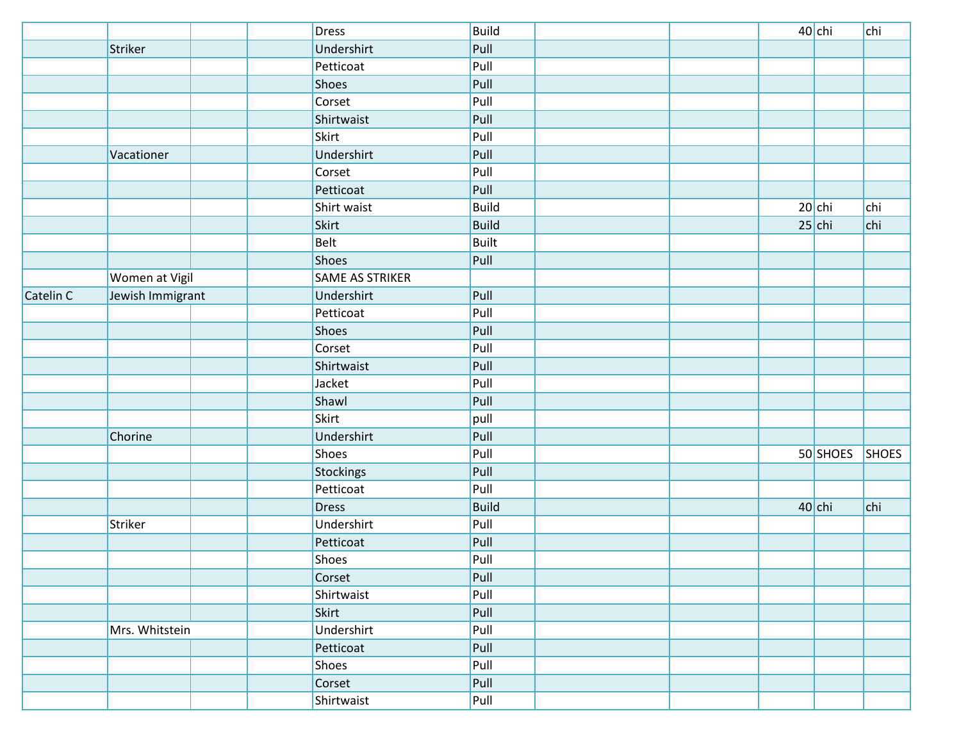|           |                  | Dress           | <b>Build</b> |  | 40 chi   | chi   |
|-----------|------------------|-----------------|--------------|--|----------|-------|
|           | Striker          | Undershirt      | Pull         |  |          |       |
|           |                  | Petticoat       | Pull         |  |          |       |
|           |                  | Shoes           | Pull         |  |          |       |
|           |                  | Corset          | Pull         |  |          |       |
|           |                  | Shirtwaist      | Pull         |  |          |       |
|           |                  | Skirt           | Pull         |  |          |       |
|           | Vacationer       | Undershirt      | Pull         |  |          |       |
|           |                  | Corset          | Pull         |  |          |       |
|           |                  | Petticoat       | Pull         |  |          |       |
|           |                  | Shirt waist     | <b>Build</b> |  | $20$ chi | chi   |
|           |                  | Skirt           | <b>Build</b> |  | $25$ chi | chi   |
|           |                  | <b>Belt</b>     | <b>Built</b> |  |          |       |
|           |                  | Shoes           | Pull         |  |          |       |
|           | Women at Vigil   | SAME AS STRIKER |              |  |          |       |
| Catelin C | Jewish Immigrant | Undershirt      | Pull         |  |          |       |
|           |                  | Petticoat       | Pull         |  |          |       |
|           |                  | Shoes           | Pull         |  |          |       |
|           |                  | Corset          | Pull         |  |          |       |
|           |                  | Shirtwaist      | Pull         |  |          |       |
|           |                  | Jacket          | Pull         |  |          |       |
|           |                  | Shawl           | Pull         |  |          |       |
|           |                  | Skirt           | pull         |  |          |       |
|           | Chorine          | Undershirt      | Pull         |  |          |       |
|           |                  | Shoes           | Pull         |  | 50 SHOES | SHOES |
|           |                  | Stockings       | Pull         |  |          |       |
|           |                  | Petticoat       | Pull         |  |          |       |
|           |                  | <b>Dress</b>    | <b>Build</b> |  | $40$ chi | chi   |
|           | Striker          | Undershirt      | Pull         |  |          |       |
|           |                  | Petticoat       | Pull         |  |          |       |
|           |                  | Shoes           | Pull         |  |          |       |
|           |                  | Corset          | Pull         |  |          |       |
|           |                  | Shirtwaist      | Pull         |  |          |       |
|           |                  | Skirt           | Pull         |  |          |       |
|           | Mrs. Whitstein   | Undershirt      | Pull         |  |          |       |
|           |                  | Petticoat       | Pull         |  |          |       |
|           |                  | Shoes           | Pull         |  |          |       |
|           |                  | Corset          | Pull         |  |          |       |
|           |                  | Shirtwaist      | Pull         |  |          |       |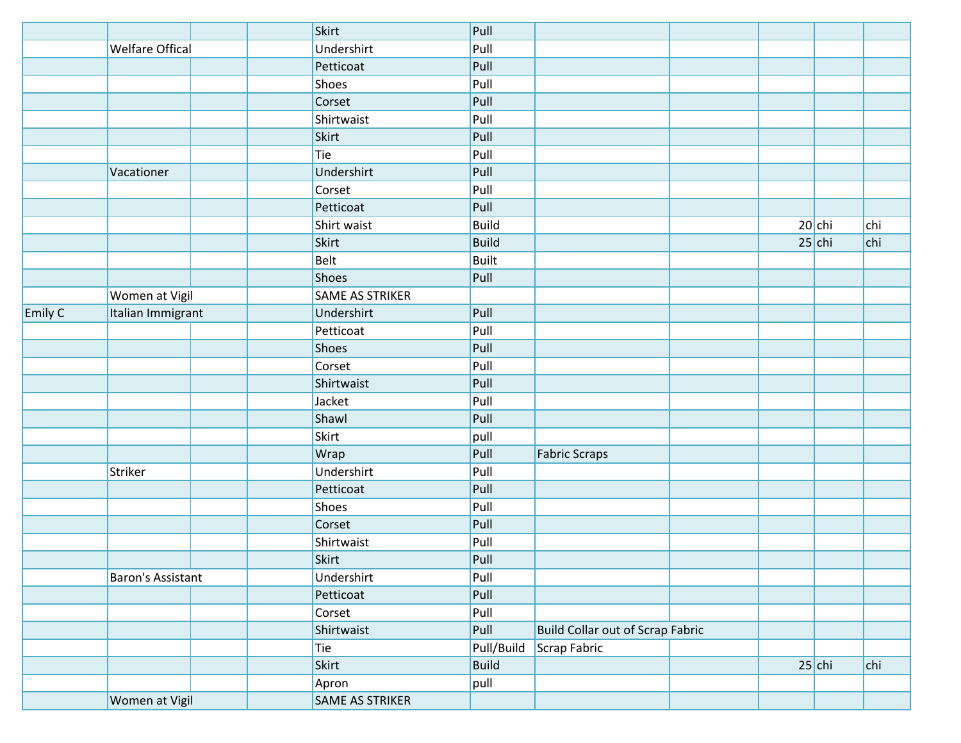|         | <b>Welfare Offical</b> |  | <b>Skirt</b>    | Pull         |                                         |          |          |     |
|---------|------------------------|--|-----------------|--------------|-----------------------------------------|----------|----------|-----|
|         |                        |  | Undershirt      | Pull         |                                         |          |          |     |
|         |                        |  | Petticoat       | Pull         |                                         |          |          |     |
|         |                        |  | Shoes           | Pull         |                                         |          |          |     |
|         |                        |  | Corset          | Pull         |                                         |          |          |     |
|         |                        |  | Shirtwaist      | Pull         |                                         |          |          |     |
|         |                        |  | Skirt           | Pull         |                                         |          |          |     |
|         |                        |  | Tie             | Pull         |                                         |          |          |     |
|         | Vacationer             |  | Undershirt      | Pull         |                                         |          |          |     |
|         |                        |  | Corset          | Pull         |                                         |          |          |     |
|         |                        |  | Petticoat       | Pull         |                                         |          |          |     |
|         |                        |  | Shirt waist     | <b>Build</b> |                                         | $20$ chi |          | chi |
|         |                        |  | Skirt           | <b>Build</b> |                                         |          | $25$ chi | chi |
|         |                        |  | <b>Belt</b>     | <b>Built</b> |                                         |          |          |     |
|         |                        |  | <b>Shoes</b>    | Pull         |                                         |          |          |     |
|         | Women at Vigil         |  | SAME AS STRIKER |              |                                         |          |          |     |
| Emily C | Italian Immigrant      |  | Undershirt      | Pull         |                                         |          |          |     |
|         |                        |  | Petticoat       | Pull         |                                         |          |          |     |
|         |                        |  | Shoes           | Pull         |                                         |          |          |     |
|         |                        |  | Corset          | Pull         |                                         |          |          |     |
|         |                        |  | Shirtwaist      | Pull         |                                         |          |          |     |
|         |                        |  | Jacket          | Pull         |                                         |          |          |     |
|         |                        |  | Shawl           | Pull         |                                         |          |          |     |
|         |                        |  | Skirt           | pull         |                                         |          |          |     |
|         |                        |  | Wrap            | Pull         | <b>Fabric Scraps</b>                    |          |          |     |
|         | Striker                |  | Undershirt      | Pull         |                                         |          |          |     |
|         |                        |  | Petticoat       | Pull         |                                         |          |          |     |
|         |                        |  | <b>Shoes</b>    | Pull         |                                         |          |          |     |
|         |                        |  | Corset          | Pull         |                                         |          |          |     |
|         |                        |  | Shirtwaist      | Pull         |                                         |          |          |     |
|         |                        |  | Skirt           | Pull         |                                         |          |          |     |
|         | Baron's Assistant      |  | Undershirt      | Pull         |                                         |          |          |     |
|         |                        |  | Petticoat       | Pull         |                                         |          |          |     |
|         |                        |  | Corset          | Pull         |                                         |          |          |     |
|         |                        |  | Shirtwaist      | Pull         | <b>Build Collar out of Scrap Fabric</b> |          |          |     |
|         |                        |  | Tie             | Pull/Build   | Scrap Fabric                            |          |          |     |
|         |                        |  | Skirt           | <b>Build</b> |                                         |          | $25$ chi | chi |
|         |                        |  | Apron           | pull         |                                         |          |          |     |
|         | Women at Vigil         |  | SAME AS STRIKER |              |                                         |          |          |     |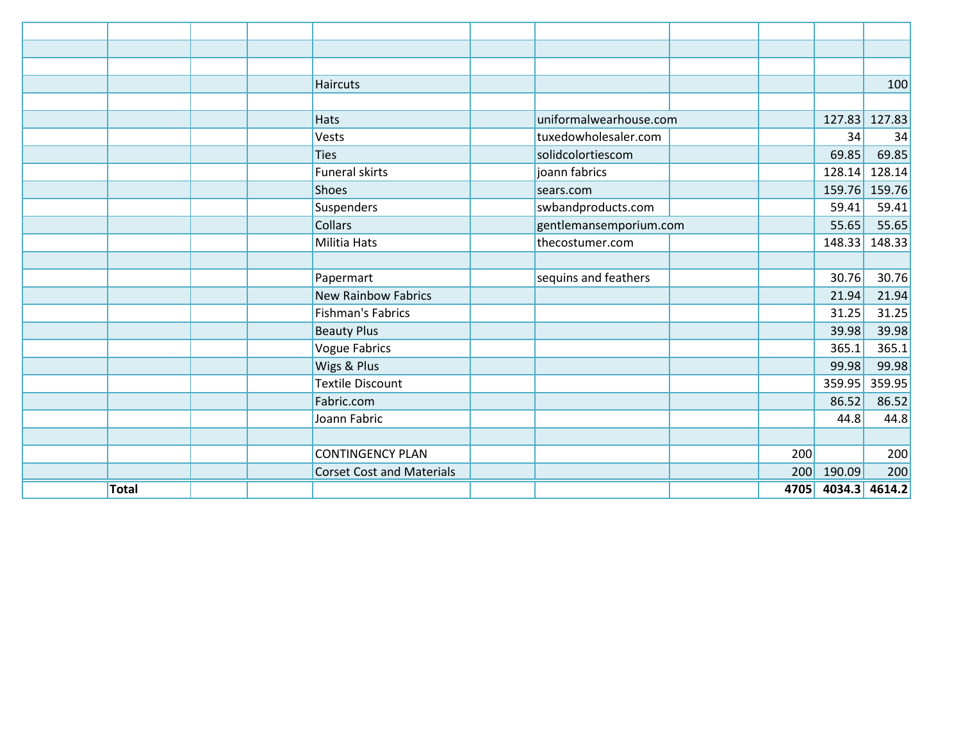|              |  | Haircuts                         |                        |     |                    | 100           |
|--------------|--|----------------------------------|------------------------|-----|--------------------|---------------|
|              |  |                                  |                        |     |                    |               |
|              |  | <b>Hats</b>                      | uniformalwearhouse.com |     |                    | 127.83 127.83 |
|              |  | Vests                            | tuxedowholesaler.com   |     | 34                 | 34            |
|              |  | <b>Ties</b>                      | solidcolortiescom      |     | 69.85              | 69.85         |
|              |  | <b>Funeral skirts</b>            | joann fabrics          |     | 128.14             | 128.14        |
|              |  | <b>Shoes</b>                     | sears.com              |     | 159.76             | 159.76        |
|              |  | <b>Suspenders</b>                | swbandproducts.com     |     | 59.41              | 59.41         |
|              |  | <b>Collars</b>                   | gentlemansemporium.com |     | 55.65              | 55.65         |
|              |  | <b>Militia Hats</b>              | thecostumer.com        |     | 148.33             | 148.33        |
|              |  |                                  |                        |     |                    |               |
|              |  | Papermart                        | sequins and feathers   |     | 30.76              | 30.76         |
|              |  | <b>New Rainbow Fabrics</b>       |                        |     | 21.94              | 21.94         |
|              |  | <b>Fishman's Fabrics</b>         |                        |     | 31.25              | 31.25         |
|              |  | <b>Beauty Plus</b>               |                        |     | 39.98              | 39.98         |
|              |  | <b>Vogue Fabrics</b>             |                        |     | 365.1              | 365.1         |
|              |  | Wigs & Plus                      |                        |     | 99.98              | 99.98         |
|              |  | <b>Textile Discount</b>          |                        |     | 359.95             | 359.95        |
|              |  | Fabric.com                       |                        |     | 86.52              | 86.52         |
|              |  | Joann Fabric                     |                        |     | 44.8               | 44.8          |
|              |  |                                  |                        |     |                    |               |
|              |  | <b>CONTINGENCY PLAN</b>          |                        | 200 |                    | 200           |
|              |  | <b>Corset Cost and Materials</b> |                        |     | 200 190.09         | 200           |
| <b>Total</b> |  |                                  |                        |     | 4705 4034.3 4614.2 |               |